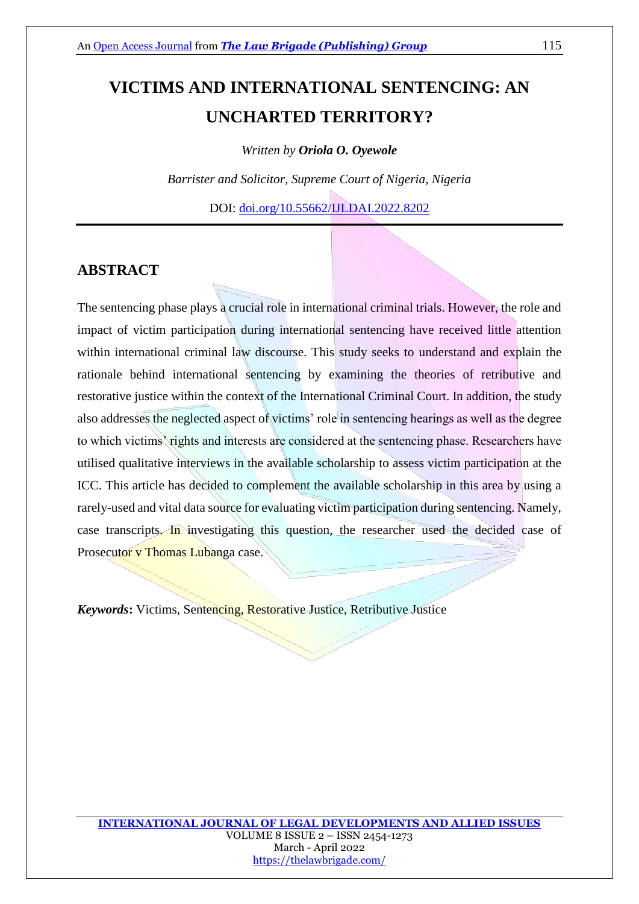# **VICTIMS AND INTERNATIONAL SENTENCING: AN UNCHARTED TERRITORY?**

*Written by Oriola O. Oyewole*

*Barrister and Solicitor, Supreme Court of Nigeria, Nigeria*

DOI: [doi.org/10.55662/IJLDAI.2022.8202](https://doi.org/10.55662/IJLDAI.2022.8202)

## **ABSTRACT**

The sentencing phase plays a crucial role in international criminal trials. However, the role and impact of victim participation during international sentencing have received little attention within international criminal law discourse. This study seeks to understand and explain the rationale behind international sentencing by examining the theories of retributive and restorative justice within the context of the International Criminal Court. In addition, the study also addresses the neglected aspect of victims' role in sentencing hearings as well as the degree to which victims' rights and interests are considered at the sentencing phase. Researchers have utilised qualitative interviews in the available scholarship to assess victim participation at the ICC. This article has decided to complement the available scholarship in this area by using a rarely-used and vital data source for evaluating victim participation during sentencing. Namely, case transcripts. In investigating this question, the researcher used the decided case of Prosecutor v Thomas Lubanga case.

*Keywords***:** Victims, Sentencing, Restorative Justice, Retributive Justice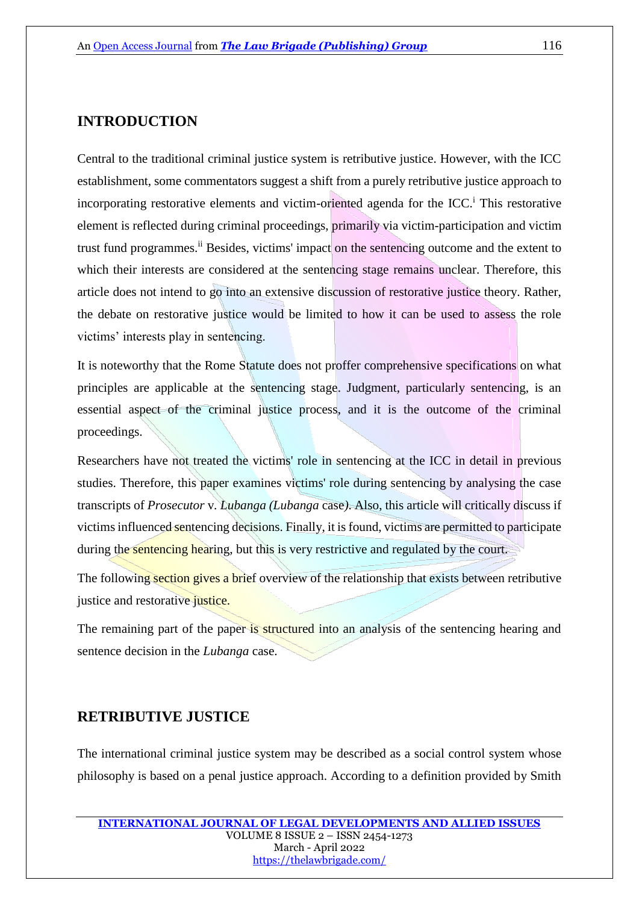## **INTRODUCTION**

Central to the traditional criminal justice system is retributive justice. However, with the ICC establishment, some commentators suggest a shift from a purely retributive justice approach to incorporating restorative elements and victim-oriented agenda for the ICC.<sup>†</sup> This restorative element is reflected during criminal proceedings, primarily via victim-participation and victim trust fund programmes.<sup>ii</sup> Besides, victims' impact on the sentencing outcome and the extent to which their interests are considered at the sentencing stage remains unclear. Therefore, this article does not intend to go into an extensive discussion of restorative justice theory. Rather, the debate on restorative justice would be limited to how it can be used to assess the role victims' interests play in sentencing.

It is noteworthy that the Rome Statute does not proffer comprehensive specifications on what principles are applicable at the sentencing stage. Judgment, particularly sentencing, is an essential aspect of the criminal justice process, and it is the outcome of the criminal proceedings.

Researchers have not treated the victims' role in sentencing at the ICC in detail in previous studies. Therefore, this paper examines victims' role during sentencing by analysing the case transcripts of *Prosecutor* v*. Lubanga (Lubanga* case*)*. Also, this article will critically discuss if victims influenced sentencing decisions. Finally, it is found, victims are permitted to participate during the sentencing hearing, but this is very restrictive and regulated by the court.

The following section gives a brief overview of the relationship that exists between retributive justice and restorative justice.

The remaining part of the paper is structured into an analysis of the sentencing hearing and sentence decision in the *Lubanga* case.

## **RETRIBUTIVE JUSTICE**

The international criminal justice system may be described as a social control system whose philosophy is based on a penal justice approach. According to a definition provided by Smith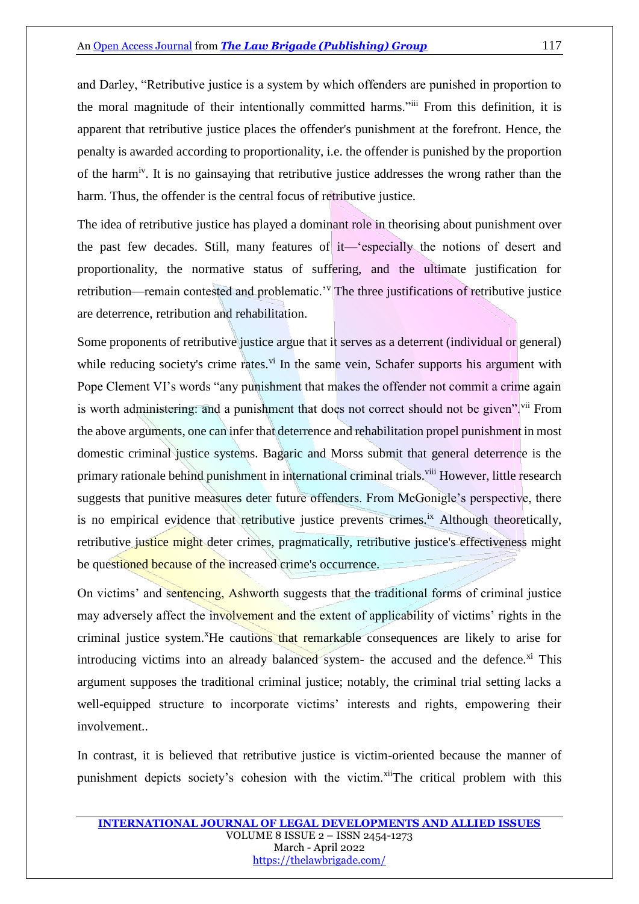and Darley, "Retributive justice is a system by which offenders are punished in proportion to the moral magnitude of their intentionally committed harms."iii From this definition, it is apparent that retributive justice places the offender's punishment at the forefront. Hence, the penalty is awarded according to proportionality, i.e. the offender is punished by the proportion of the harmiv. It is no gainsaying that retributive justice addresses the wrong rather than the harm. Thus, the offender is the central focus of retributive justice.

The idea of retributive justice has played a dominant role in theorising about punishment over the past few decades. Still, many features of it—'especially the notions of desert and proportionality, the normative status of suffering, and the ultimate justification for retribution—remain contested and problematic.'<sup>v</sup> The three justifications of retributive justice are deterrence, retribution and rehabilitation.

Some proponents of retributive justice argue that it serves as a deterrent (individual or general) while reducing society's crime rates.<sup>vi</sup> In the same vein, Schafer supports his argument with Pope Clement VI's words "any punishment that makes the offender not commit a crime again is worth administering: and a punishment that does not correct should not be given".<sup>vii</sup> From the above arguments, one can infer that deterrence and rehabilitation propel punishment in most domestic criminal justice systems. Bagaric and Morss submit that general deterrence is the primary rationale behind punishment in international criminal trials.<sup>viii</sup> However, little research suggests that punitive measures deter future offenders. From McGonigle's perspective, there is no empirical evidence that retributive justice prevents crimes.<sup>ix</sup> Although theoretically, retributive justice might deter crimes, pragmatically, retributive justice's effectiveness might be questioned because of the increased crime's occurrence.

On victims' and sentencing, Ashworth suggests that the traditional forms of criminal justice may adversely affect the involvement and the extent of applicability of victims' rights in the criminal justice system.<sup>x</sup>He cautions that remarkable consequences are likely to arise for introducing victims into an already balanced system- the accused and the defence. $x_i$  This argument supposes the traditional criminal justice; notably, the criminal trial setting lacks a well-equipped structure to incorporate victims' interests and rights, empowering their involvement..

In contrast, it is believed that retributive justice is victim-oriented because the manner of punishment depicts society's cohesion with the victim.<sup>xii</sup>The critical problem with this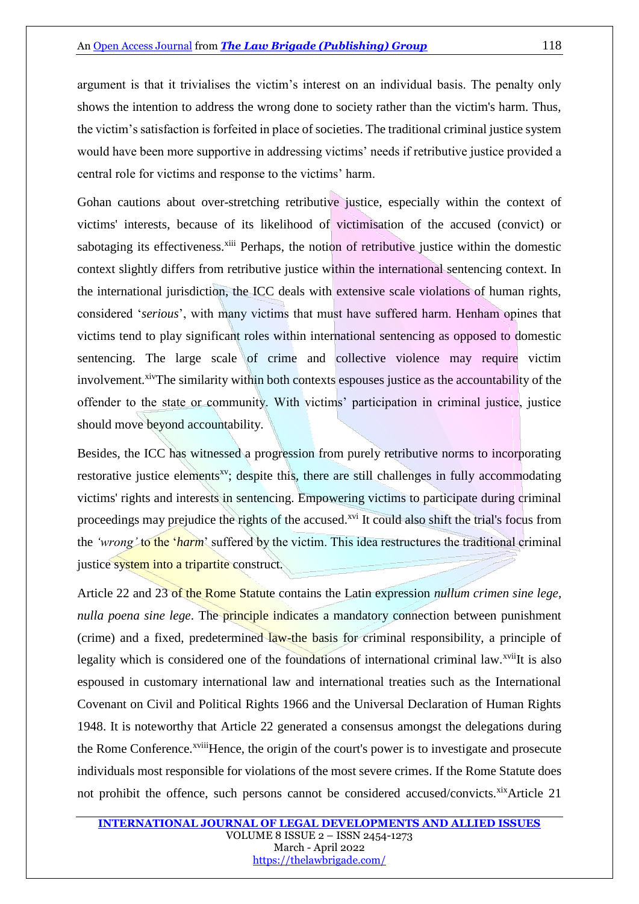argument is that it trivialises the victim's interest on an individual basis. The penalty only shows the intention to address the wrong done to society rather than the victim's harm. Thus, the victim's satisfaction is forfeited in place of societies. The traditional criminal justice system would have been more supportive in addressing victims' needs if retributive justice provided a central role for victims and response to the victims' harm.

Gohan cautions about over-stretching retributive justice, especially within the context of victims' interests, because of its likelihood of victimisation of the accused (convict) or sabotaging its effectiveness.<sup>xiii</sup> Perhaps, the notion of retributive justice within the domestic context slightly differs from retributive justice within the international sentencing context. In the international jurisdiction, the ICC deals with extensive scale violations of human rights, considered '*serious*', with many victims that must have suffered harm. Henham opines that victims tend to play significant roles within international sentencing as opposed to domestic sentencing. The large scale of crime and collective violence may require victim involvement.<sup>xiv</sup>The similarity within both contexts espouses justice as the accountability of the offender to the state or community. With victims' participation in criminal justice, justice should move beyond accountability.

Besides, the ICC has witnessed a progression from purely retributive norms to incorporating restorative justice elements<sup>xv</sup>; despite this, there are still challenges in fully accommodating victims' rights and interests in sentencing. Empowering victims to participate during criminal proceedings may prejudice the rights of the accused.<sup>xvi</sup> It could also shift the trial's focus from the *'wrong'* to the '*harm*' suffered by the victim. This idea restructures the traditional criminal justice system into a tripartite construct.

Article 22 and 23 of the Rome Statute contains the Latin expression *nullum crimen sine lege, nulla poena sine lege*. The **principle indicates** a mandatory connection between punishment (crime) and a fixed, predetermined law-the basis for criminal responsibility, a principle of legality which is considered one of the foundations of international criminal law.<sup>xvii</sup>It is also espoused in customary international law and international treaties such as the International Covenant on Civil and Political Rights 1966 and the Universal Declaration of Human Rights 1948. It is noteworthy that Article 22 generated a consensus amongst the delegations during the Rome Conference.<sup>xviii</sup>Hence, the origin of the court's power is to investigate and prosecute individuals most responsible for violations of the most severe crimes. If the Rome Statute does not prohibit the offence, such persons cannot be considered accused/convicts. $x$ ixArticle 21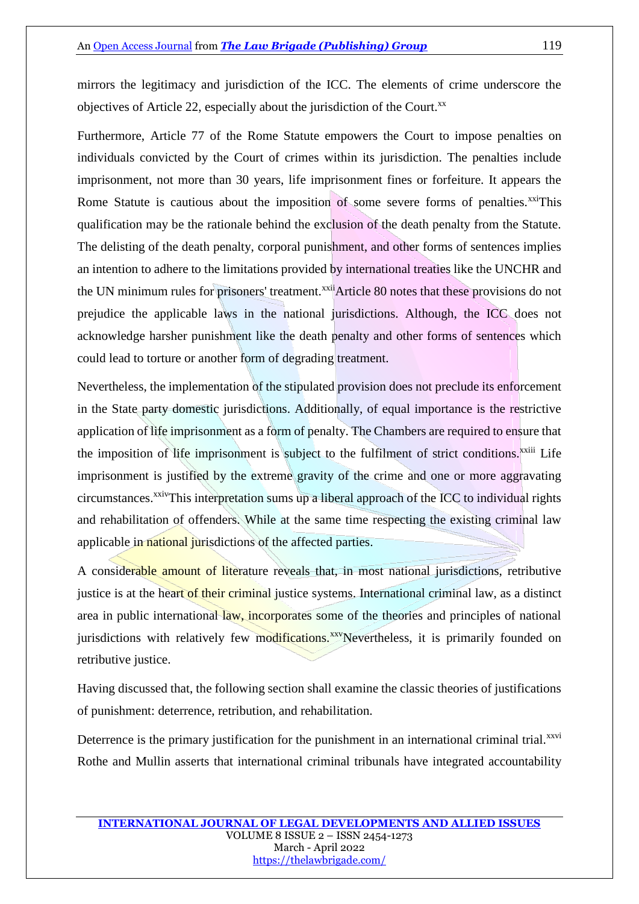Furthermore, Article 77 of the Rome Statute empowers the Court to impose penalties on individuals convicted by the Court of crimes within its jurisdiction. The penalties include imprisonment, not more than 30 years, life imprisonment fines or forfeiture. It appears the Rome Statute is cautious about the imposition of some severe forms of penalties.<sup>xxi</sup>This qualification may be the rationale behind the exclusion of the death penalty from the Statute. The delisting of the death penalty, corporal punishment, and other forms of sentences implies an intention to adhere to the limitations provided by international treaties like the UNCHR and the UN minimum rules for prisoners' treatment.<sup>xxii</sup>Article 80 notes that these provisions do not prejudice the applicable laws in the national jurisdictions. Although, the ICC does not acknowledge harsher punishment like the death penalty and other forms of sentences which could lead to torture or another form of degrading treatment.

Nevertheless, the implementation of the stipulated provision does not preclude its enforcement in the State party domestic jurisdictions. Additionally, of equal importance is the restrictive application of life imprisonment as a form of penalty. The Chambers are required to ensure that the imposition of life imprisonment is subject to the fulfilment of strict conditions.<sup>xxiii</sup> Life imprisonment is justified by the extreme gravity of the crime and one or more aggravating circumstances.<sup>xxiv</sup>This interpretation sums up a liberal approach of the ICC to individual rights and rehabilitation of offenders. While at the same time respecting the existing criminal law applicable in national jurisdictions of the affected parties.

A considerable amount of literature reveals that, in most national jurisdictions, retributive justice is at the heart of their criminal justice systems. International criminal law, as a distinct area in public international law, incorporates some of the theories and principles of national jurisdictions with relatively few modifications.<sup>xxv</sup>Nevertheless, it is primarily founded on retributive justice.

Having discussed that, the following section shall examine the classic theories of justifications of punishment: deterrence, retribution, and rehabilitation.

Deterrence is the primary justification for the punishment in an international criminal trial.<sup>xxvi</sup> Rothe and Mullin asserts that international criminal tribunals have integrated accountability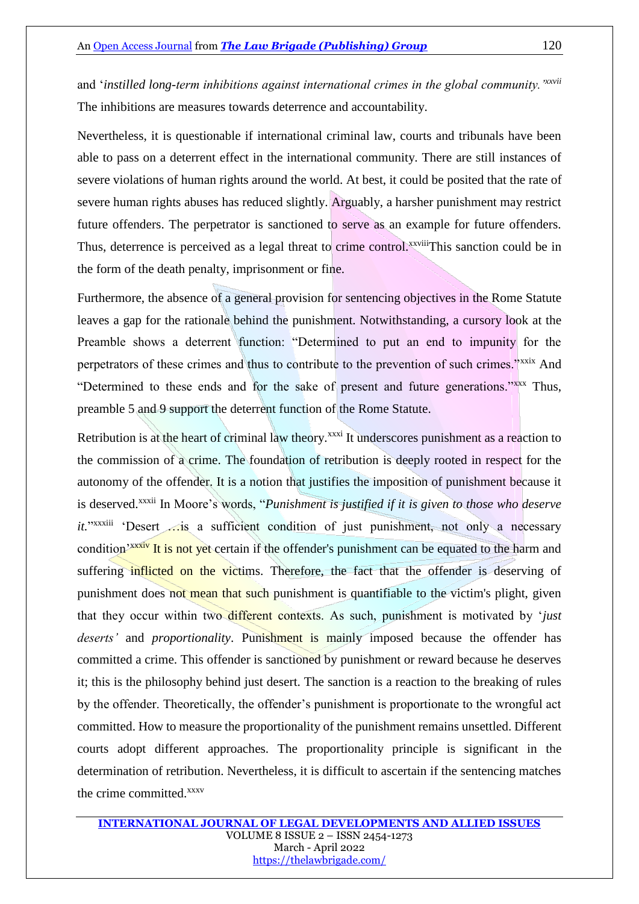and '*instilled long-term inhibitions against international crimes in the global community.'xxvii* The inhibitions are measures towards deterrence and accountability.

Nevertheless, it is questionable if international criminal law, courts and tribunals have been able to pass on a deterrent effect in the international community. There are still instances of severe violations of human rights around the world. At best, it could be posited that the rate of severe human rights abuses has reduced slightly. Arguably, a harsher punishment may restrict future offenders. The perpetrator is sanctioned to serve as an example for future offenders. Thus, deterrence is perceived as a legal threat to crime control.<sup>xxviii</sup>This sanction could be in the form of the death penalty, imprisonment or fine.

Furthermore, the absence of a general provision for sentencing objectives in the Rome Statute leaves a gap for the rationale behind the punishment. Notwithstanding, a cursory look at the Preamble shows a deterrent function: "Determined to put an end to impunity for the perpetrators of these crimes and thus to contribute to the prevention of such crimes."<sup>xxxix</sup> And "Determined to these ends and for the sake of present and future generations."xxx Thus, preamble 5 and 9 support the deterrent function of the Rome Statute.

Retribution is at the heart of criminal law theory.<sup>xxxi</sup> It underscores punishment as a reaction to the commission of a crime. The foundation of retribution is deeply rooted in respect for the autonomy of the offender. It is a notion that justifies the imposition of punishment because it is deserved.xxxii In Moore's words, "*Punishment is justified if it is given to those who deserve*  it."<sup>xxxiii</sup> 'Desert ... is a sufficient condition of just punishment, not only a necessary condition<sup>'xxxiv</sup> It is not yet certain if the offender's punishment can be equated to the harm and suffering inflicted on the victims. Therefore, the fact that the offender is deserving of punishment does not mean that such punishment is quantifiable to the victim's plight, given that they occur within two different contexts. As such, punishment is motivated by '*just deserts'* and *proportionality*. Punishment is mainly imposed because the offender has committed a crime. This offender is sanctioned by punishment or reward because he deserves it; this is the philosophy behind just desert. The sanction is a reaction to the breaking of rules by the offender. Theoretically, the offender's punishment is proportionate to the wrongful act committed. How to measure the proportionality of the punishment remains unsettled. Different courts adopt different approaches. The proportionality principle is significant in the determination of retribution. Nevertheless, it is difficult to ascertain if the sentencing matches the crime committed.<sup>xxxv</sup>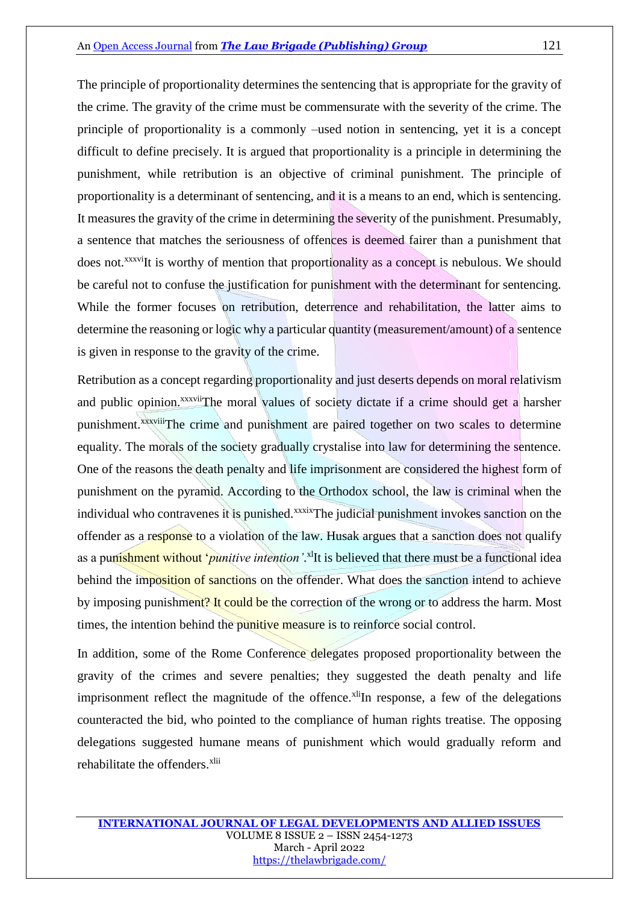The principle of proportionality determines the sentencing that is appropriate for the gravity of the crime. The gravity of the crime must be commensurate with the severity of the crime. The principle of proportionality is a commonly –used notion in sentencing, yet it is a concept difficult to define precisely. It is argued that proportionality is a principle in determining the punishment, while retribution is an objective of criminal punishment. The principle of proportionality is a determinant of sentencing, and it is a means to an end, which is sentencing. It measures the gravity of the crime in determining the severity of the punishment. Presumably, a sentence that matches the seriousness of offences is deemed fairer than a punishment that does not.<sup>xxxvi</sup>It is worthy of mention that proportionality as a concept is nebulous. We should be careful not to confuse the justification for punishment with the determinant for sentencing. While the former focuses on retribution, deterrence and rehabilitation, the latter aims to determine the reasoning or logic why a particular quantity (measurement/amount) of a sentence is given in response to the gravity of the crime.

Retribution as a concept regarding proportionality and just deserts depends on moral relativism and public opinion.<sup>xxxvii</sup>The moral values of society dictate if a crime should get a harsher punishment.xxxviiiThe crime and punishment are paired together on two scales to determine equality. The morals of the society gradually crystalise into law for determining the sentence. One of the reasons the death penalty and life imprisonment are considered the highest form of punishment on the pyramid. According to the Orthodox school, the law is criminal when the individual who contravenes it is punished.<sup>xxxix</sup>The judicial punishment invokes sanction on the offender as a response to a violation of the law. Husak argues that a sanction does not qualify as a punishment without '*punitive intention'*. xlIt is believed that there must be a functional idea behind the imposition of sanctions on the offender. What does the sanction intend to achieve by imposing punishment? It could be the correction of the wrong or to address the harm. Most times, the intention behind the punitive measure is to reinforce social control.

In addition, some of the Rome Conference delegates proposed proportionality between the gravity of the crimes and severe penalties; they suggested the death penalty and life imprisonment reflect the magnitude of the offence.<sup>xli</sup>In response, a few of the delegations counteracted the bid, who pointed to the compliance of human rights treatise. The opposing delegations suggested humane means of punishment which would gradually reform and rehabilitate the offenders.<sup>xlii</sup>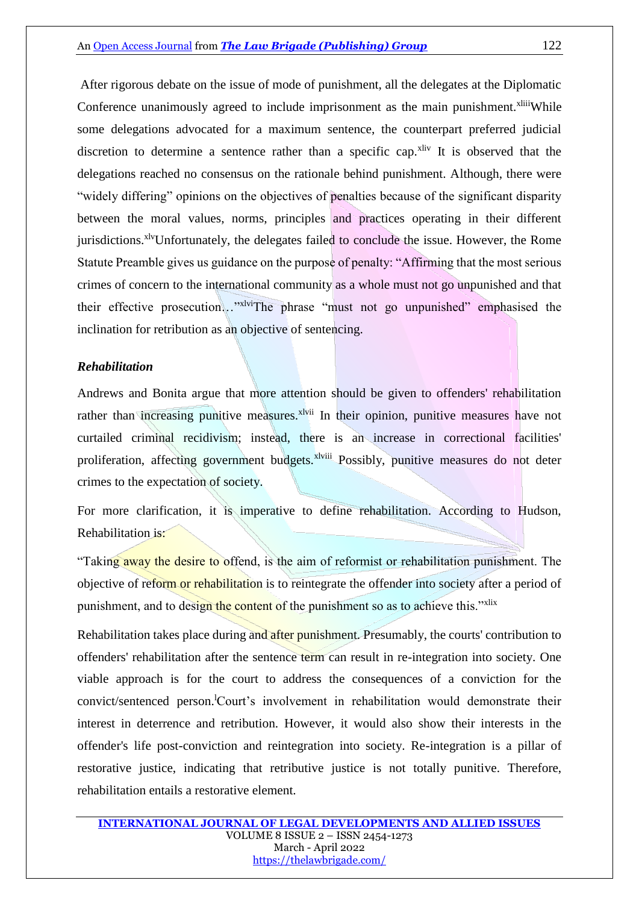After rigorous debate on the issue of mode of punishment, all the delegates at the Diplomatic Conference unanimously agreed to include imprisonment as the main punishment.<sup>xliii</sup>While some delegations advocated for a maximum sentence, the counterpart preferred judicial discretion to determine a sentence rather than a specific cap.<sup>xliv</sup> It is observed that the delegations reached no consensus on the rationale behind punishment. Although, there were "widely differing" opinions on the objectives of penalties because of the significant disparity between the moral values, norms, principles and practices operating in their different jurisdictions.<sup>xlv</sup>Unfortunately, the delegates failed to conclude the issue. However, the Rome Statute Preamble gives us guidance on the purpose of penalty: "Affirming that the most serious crimes of concern to the international community as a whole must not go unpunished and that their effective prosecution…"xlviThe phrase "must not go unpunished" emphasised the inclination for retribution as an objective of sentencing.

#### *Rehabilitation*

Andrews and Bonita argue that more attention should be given to offenders' rehabilitation rather than increasing punitive measures.<sup>xlvii</sup> In their opinion, punitive measures have not curtailed criminal recidivism; instead, there is an increase in correctional facilities' proliferation, affecting government budgets.<sup>xlviii</sup> Possibly, punitive measures do not deter crimes to the expectation of society.

For more clarification, it is imperative to define rehabilitation. According to Hudson, Rehabilitation is:

"Taking away the desire to offend, is the aim of reformist or rehabilitation punishment. The objective of reform or rehabilitation is to reintegrate the offender into society after a period of punishment, and to design the content of the punishment so as to achieve this."<sup>xlix</sup>

Rehabilitation takes place during and after punishment. Presumably, the courts' contribution to offenders' rehabilitation after the sentence term can result in re-integration into society. One viable approach is for the court to address the consequences of a conviction for the convict/sentenced person.<sup>1</sup>Court's involvement in rehabilitation would demonstrate their interest in deterrence and retribution. However, it would also show their interests in the offender's life post-conviction and reintegration into society. Re-integration is a pillar of restorative justice, indicating that retributive justice is not totally punitive. Therefore, rehabilitation entails a restorative element.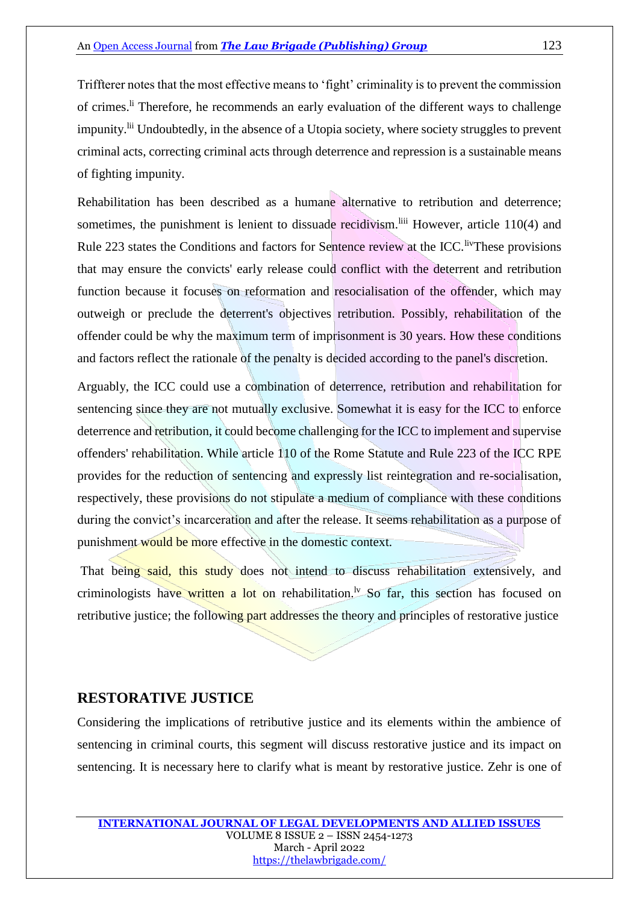Triffterer notes that the most effective means to 'fight' criminality is to prevent the commission of crimes.<sup>li</sup> Therefore, he recommends an early evaluation of the different ways to challenge impunity.<sup>lii</sup> Undoubtedly, in the absence of a Utopia society, where society struggles to prevent criminal acts, correcting criminal acts through deterrence and repression is a sustainable means of fighting impunity.

Rehabilitation has been described as a humane alternative to retribution and deterrence; sometimes, the punishment is lenient to dissuade recidivism. Iiii However, article 110(4) and Rule 223 states the Conditions and factors for Sentence review at the ICC. IV These provisions that may ensure the convicts' early release could conflict with the deterrent and retribution function because it focuses on reformation and resocialisation of the offender, which may outweigh or preclude the deterrent's objectives retribution. Possibly, rehabilitation of the offender could be why the maximum term of imprisonment is 30 years. How these conditions and factors reflect the rationale of the penalty is decided according to the panel's discretion.

Arguably, the ICC could use a combination of deterrence, retribution and rehabilitation for sentencing since they are not mutually exclusive. Somewhat it is easy for the ICC to enforce deterrence and retribution, it could become challenging for the ICC to implement and supervise offenders' rehabilitation. While article 110 of the Rome Statute and Rule 223 of the ICC RPE provides for the reduction of sentencing and expressly list reintegration and re-socialisation, respectively, these provisions do not stipulate a medium of compliance with these conditions during the convict's incarceration and after the release. It seems rehabilitation as a purpose of punishment would be more effective in the domestic context.

That being said, this study does not intend to discuss rehabilitation extensively, and criminologists have written a lot on rehabilitation.<sup>1</sup> So far, this section has focused on retributive justice; the following part addresses the theory and principles of restorative justice

### **RESTORATIVE JUSTICE**

Considering the implications of retributive justice and its elements within the ambience of sentencing in criminal courts, this segment will discuss restorative justice and its impact on sentencing. It is necessary here to clarify what is meant by restorative justice. Zehr is one of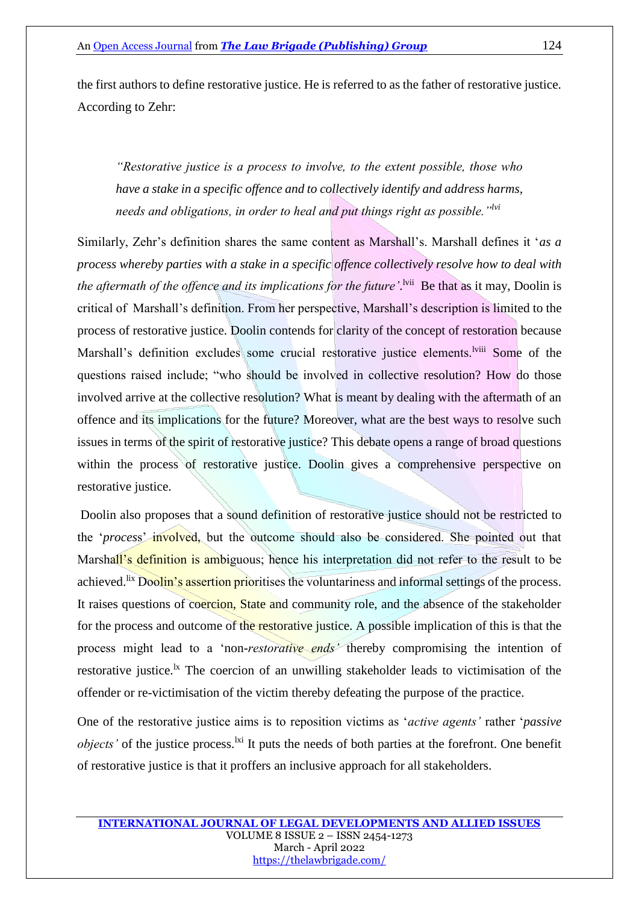the first authors to define restorative justice. He is referred to as the father of restorative justice. According to Zehr:

*"Restorative justice is a process to involve, to the extent possible, those who have a stake in a specific offence and to collectively identify and address harms, needs and obligations, in order to heal and put things right as possible."lvi*

Similarly, Zehr's definition shares the same content as Marshall's. Marshall defines it '*as a process whereby parties with a stake in a specific offence collectively resolve how to deal with*  the aftermath of the offence and its implications for the future'.<sup>[vii</sup> Be that as it may, Doolin is critical of Marshall's definition. From her perspective, Marshall's description is limited to the process of restorative justice. Doolin contends for clarity of the concept of restoration because Marshall's definition excludes some crucial restorative justice elements.<sup>lviii</sup> Some of the questions raised include; "who should be involved in collective resolution? How do those involved arrive at the collective resolution? What is meant by dealing with the aftermath of an offence and its implications for the future? Moreover, what are the best ways to resolve such issues in terms of the spirit of restorative justice? This debate opens a range of broad questions within the process of restorative justice. Doolin gives a comprehensive perspective on restorative justice.

Doolin also proposes that a sound definition of restorative justice should not be restricted to the '*proces*s' involved, but the outcome should also be considered. She pointed out that Marshall's definition is ambiguous; hence his interpretation did not refer to the result to be achieved.<sup>lix</sup> Doolin's assertion prioritises the voluntariness and informal settings of the process. It raises questions of coercion, State and community role, and the absence of the stakeholder for the process and outcome of the restorative justice. A possible implication of this is that the process might lead to a 'non*-restorative ends'* thereby compromising the intention of restorative justice.<sup>1x</sup> The coercion of an unwilling stakeholder leads to victimisation of the offender or re-victimisation of the victim thereby defeating the purpose of the practice.

One of the restorative justice aims is to reposition victims as '*active agents'* rather '*passive objects'* of the justice process.<sup>1xi</sup> It puts the needs of both parties at the forefront. One benefit of restorative justice is that it proffers an inclusive approach for all stakeholders.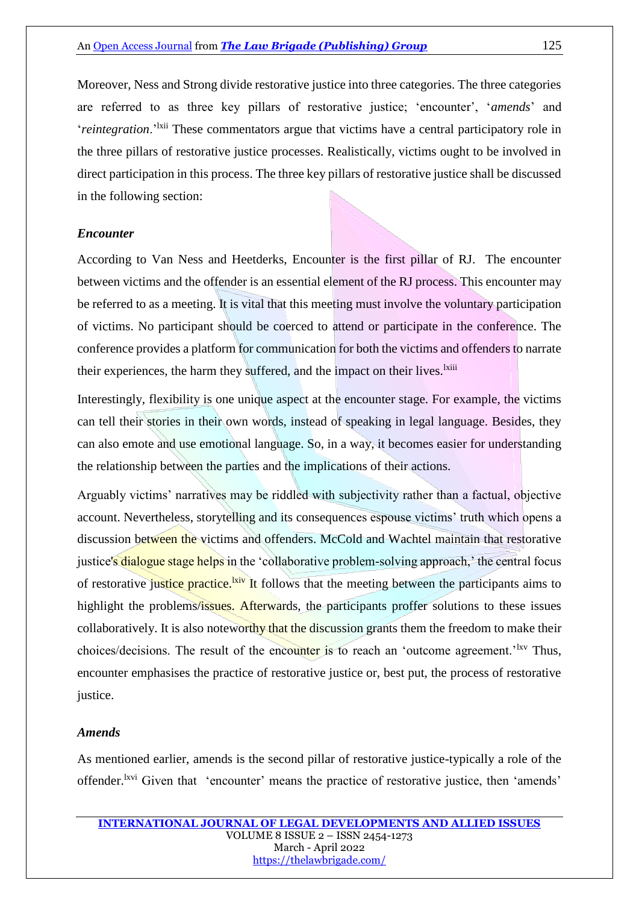Moreover, Ness and Strong divide restorative justice into three categories. The three categories are referred to as three key pillars of restorative justice; 'encounter', '*amends*' and '*reintegration*.'lxii These commentators argue that victims have a central participatory role in the three pillars of restorative justice processes. Realistically, victims ought to be involved in direct participation in this process. The three key pillars of restorative justice shall be discussed in the following section:

#### *Encounter*

According to Van Ness and Heetderks, Encounter is the first pillar of RJ. The encounter between victims and the offender is an essential element of the RJ process. This encounter may be referred to as a meeting. It is vital that this meeting must involve the voluntary participation of victims. No participant should be coerced to attend or participate in the conference. The conference provides a platform for communication for both the victims and offenders to narrate their experiences, the harm they suffered, and the impact on their lives.<sup>1xiii</sup>

Interestingly, flexibility is one unique aspect at the encounter stage. For example, the victims can tell their stories in their own words, instead of speaking in legal language. Besides, they can also emote and use emotional language. So, in a way, it becomes easier for understanding the relationship between the parties and the implications of their actions.

Arguably victims' narratives may be riddled with subjectivity rather than a factual, objective account. Nevertheless, storytelling and its consequences espouse victims' truth which opens a discussion between the victims and offenders. McCold and Wachtel maintain that restorative justice's dialogue stage helps in the 'collaborative problem-solving approach,' the central focus of restorative justice practice.<sup>[kiv]</sup> It follows that the meeting between the participants aims to highlight the problems/issues. Afterwards, the participants proffer solutions to these issues collaboratively. It is also noteworthy that the discussion grants them the freedom to make their choices/decisions. The result of the encounter is to reach an 'outcome agreement.'<sup>lxv</sup> Thus, encounter emphasises the practice of restorative justice or, best put, the process of restorative justice.

#### *Amends*

As mentioned earlier, amends is the second pillar of restorative justice-typically a role of the offender.<sup>lxvi</sup> Given that 'encounter' means the practice of restorative justice, then 'amends'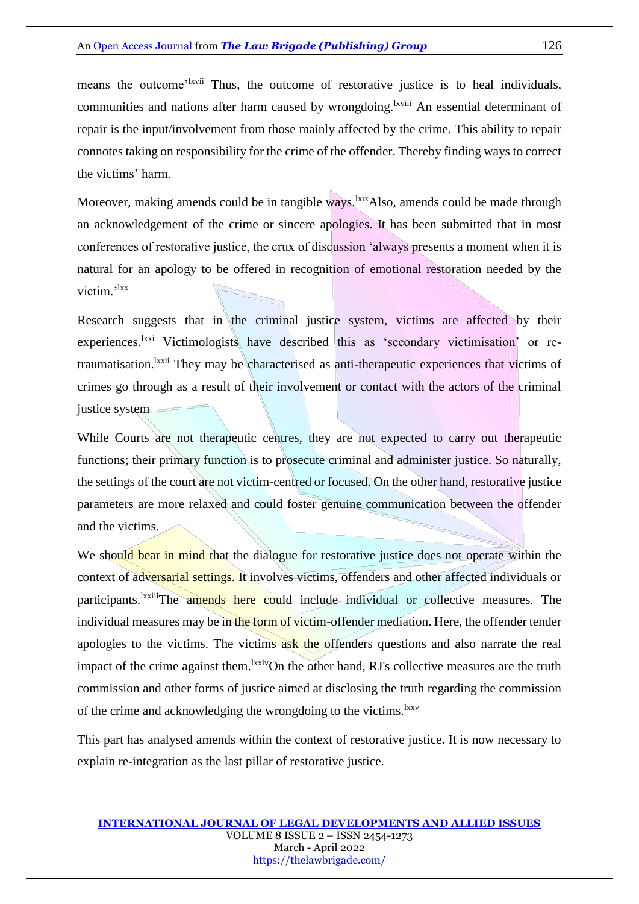means the outcome<sup>'lxvii</sup> Thus, the outcome of restorative justice is to heal individuals, communities and nations after harm caused by wrongdoing.<sup>lxviii</sup> An essential determinant of repair is the input/involvement from those mainly affected by the crime. This ability to repair connotes taking on responsibility for the crime of the offender. Thereby finding ways to correct the victims' harm.

Moreover, making amends could be in tangible ways.<sup>1xix</sup>Also, amends could be made through an acknowledgement of the crime or sincere apologies. It has been submitted that in most conferences of restorative justice, the crux of discussion 'always presents a moment when it is natural for an apology to be offered in recognition of emotional restoration needed by the victim.'<sup>lxx</sup>

Research suggests that in the criminal justice system, victims are affected by their experiences.<sup>lxxi</sup> Victimologists have described this as 'secondary victimisation' or retraumatisation.<sup>Ixxii</sup> They may be characterised as anti-therapeutic experiences that victims of crimes go through as a result of their involvement or contact with the actors of the criminal justice system

While Courts are not therapeutic centres, they are not expected to carry out therapeutic functions; their primary function is to prosecute criminal and administer justice. So naturally, the settings of the court are not victim-centred or focused. On the other hand, restorative justice parameters are more relaxed and could foster genuine communication between the offender and the victims.

We should bear in mind that the dialogue for restorative justice does not operate within the context of adversarial settings. It involves victims, offenders and other affected individuals or participants.<sup>Ixxiii</sup>The amends here could include individual or collective measures. The individual measures may be in the form of victim-offender mediation. Here, the offender tender apologies to the victims. The victims ask the offenders questions and also narrate the real impact of the crime against them.<sup>lxxiv</sup>On the other hand, RJ's collective measures are the truth commission and other forms of justice aimed at disclosing the truth regarding the commission of the crime and acknowledging the wrongdoing to the victims.<sup>1xxv</sup>

This part has analysed amends within the context of restorative justice. It is now necessary to explain re-integration as the last pillar of restorative justice.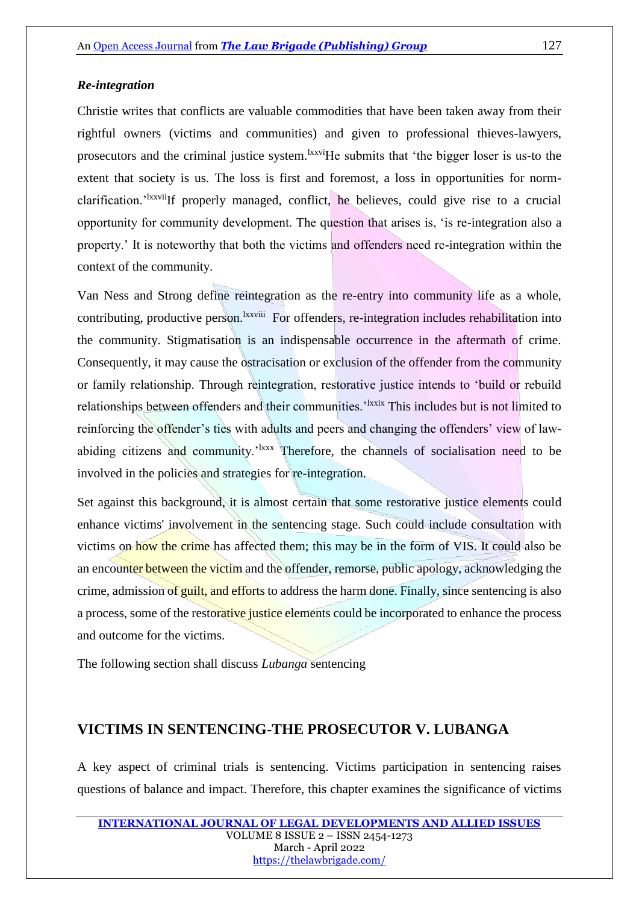#### *Re-integration*

Christie writes that conflicts are valuable commodities that have been taken away from their rightful owners (victims and communities) and given to professional thieves-lawyers, prosecutors and the criminal justice system.<sup>lxxvi</sup>He submits that 'the bigger loser is us-to the extent that society is us. The loss is first and foremost, a loss in opportunities for normclarification.<sup>'Ixxvii</sup>If properly managed, conflict, he believes, could give rise to a crucial opportunity for community development. The question that arises is, 'is re-integration also a property.' It is noteworthy that both the victims and offenders need re-integration within the context of the community.

Van Ness and Strong define reintegration as the re-entry into community life as a whole, contributing, productive person. Ixxviii For offenders, re-integration includes rehabilitation into the community. Stigmatisation is an indispensable occurrence in the aftermath of crime. Consequently, it may cause the ostracisation or exclusion of the offender from the community or family relationship. Through reintegration, restorative justice intends to 'build or rebuild relationships between offenders and their communities.<sup>'Ixxix</sup> This includes but is not limited to reinforcing the offender's ties with adults and peers and changing the offenders' view of lawabiding citizens and community.'<sup>1xxx</sup> Therefore, the channels of socialisation need to be involved in the policies and strategies for re-integration.

Set against this background, it is almost certain that some restorative justice elements could enhance victims' involvement in the sentencing stage. Such could include consultation with victims on how the crime has affected them; this may be in the form of VIS. It could also be an encounter between the victim and the offender, remorse, public apology, acknowledging the crime, admission of guilt, and efforts to address the harm done. Finally, since sentencing is also a process, some of the restorative justice elements could be incorporated to enhance the process and outcome for the victims.

The following section shall discuss *Lubanga* sentencing

## **VICTIMS IN SENTENCING-THE PROSECUTOR V. LUBANGA**

A key aspect of criminal trials is sentencing. Victims participation in sentencing raises questions of balance and impact. Therefore, this chapter examines the significance of victims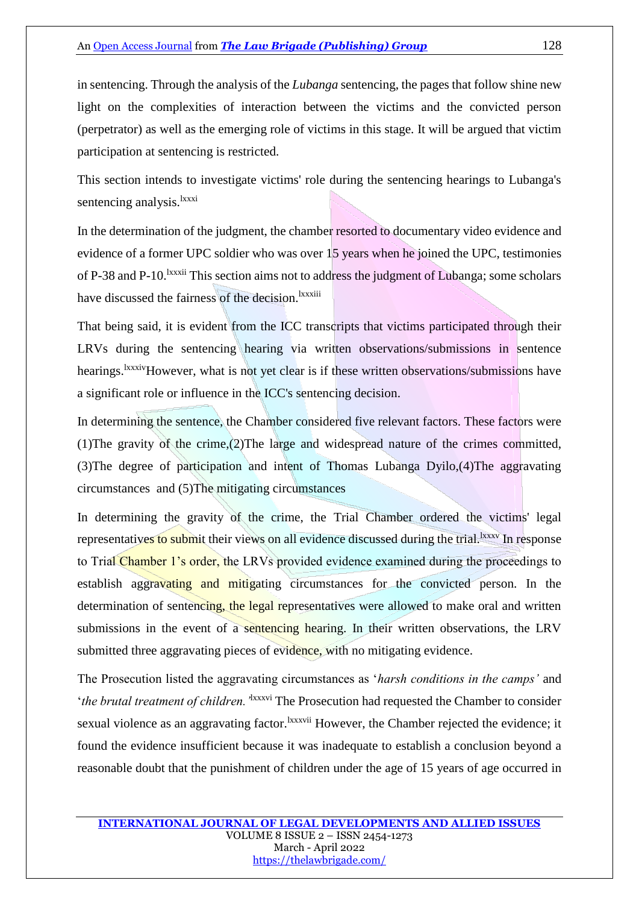in sentencing. Through the analysis of the *Lubanga* sentencing, the pages that follow shine new light on the complexities of interaction between the victims and the convicted person (perpetrator) as well as the emerging role of victims in this stage. It will be argued that victim participation at sentencing is restricted.

This section intends to investigate victims' role during the sentencing hearings to Lubanga's sentencing analysis.<sup>lxxxi</sup>

In the determination of the judgment, the chamber resorted to documentary video evidence and evidence of a former UPC soldier who was over 15 years when he joined the UPC, testimonies of P-38 and P-10.<sup>1xxxii</sup> This section aims not to address the judgment of Lubanga; some scholars have discussed the fairness of the decision.<sup>lxxxiii</sup>

That being said, it is evident from the ICC transcripts that victims participated through their LRVs during the sentencing hearing via written observations/submissions in sentence hearings.<sup>1xxxiv</sup>However, what is not yet clear is if these written observations/submissions have a significant role or influence in the ICC's sentencing decision.

In determining the sentence, the Chamber considered five relevant factors. These factors were (1)The gravity of the crime,(2)The large and widespread nature of the crimes committed, (3)The degree of participation and intent of Thomas Lubanga Dyilo,(4)The aggravating circumstances and (5)The mitigating circumstances

In determining the gravity of the crime, the Trial Chamber ordered the victims' legal representatives to submit their views on all evidence discussed during the trial.<sup>1xxxv</sup> In response to Trial Chamber 1's order, the LRVs provided evidence examined during the proceedings to establish aggravating and mitigating circumstances for the convicted person. In the determination of sentencing, the legal representatives were allowed to make oral and written submissions in the event of a sentencing hearing. In their written observations, the LRV submitted three aggravating pieces of evidence, with no mitigating evidence.

The Prosecution listed the aggravating circumstances as '*harsh conditions in the camps'* and '*the brutal treatment of children.'*lxxxvi The Prosecution had requested the Chamber to consider sexual violence as an aggravating factor.<sup>lxxxvii</sup> However, the Chamber rejected the evidence; it found the evidence insufficient because it was inadequate to establish a conclusion beyond a reasonable doubt that the punishment of children under the age of 15 years of age occurred in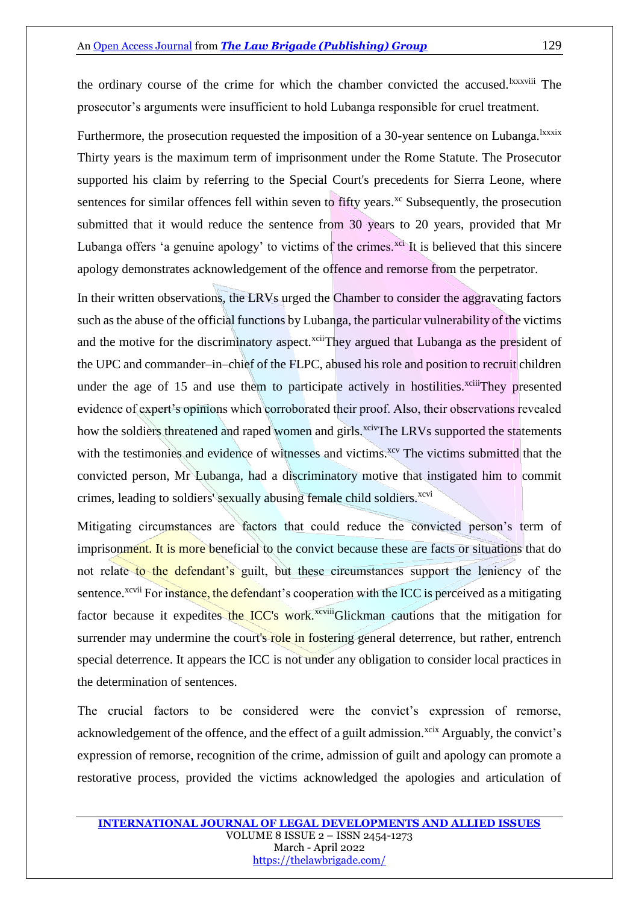the ordinary course of the crime for which the chamber convicted the accused.<sup>lxxxviii</sup> The prosecutor's arguments were insufficient to hold Lubanga responsible for cruel treatment.

Furthermore, the prosecution requested the imposition of a 30-year sentence on Lubanga.<sup>1xxxix</sup> Thirty years is the maximum term of imprisonment under the Rome Statute. The Prosecutor supported his claim by referring to the Special Court's precedents for Sierra Leone, where sentences for similar offences fell within seven to fifty years.<sup>xc</sup> Subsequently, the prosecution submitted that it would reduce the sentence from 30 years to 20 years, provided that Mr Lubanga offers 'a genuine apology' to victims of the crimes.<sup>xci</sup> It is believed that this sincere apology demonstrates acknowledgement of the offence and remorse from the perpetrator.

In their written observations, the LRVs urged the Chamber to consider the aggravating factors such as the abuse of the official functions by Lubanga, the particular vulnerability of the victims and the motive for the discriminatory aspect.<sup>xcii</sup>They argued that Lubanga as the president of the UPC and commander–in–chief of the FLPC, abused his role and position to recruit children under the age of 15 and use them to participate actively in hostilities.<sup> $x$ ciii</sup>They presented evidence of expert's opinions which corroborated their proof. Also, their observations revealed how the soldiers threatened and raped women and girls.<sup>xciv</sup>The LRVs supported the statements with the testimonies and evidence of witnesses and victims.<sup>xcv</sup> The victims submitted that the convicted person, Mr Lubanga, had a discriminatory motive that instigated him to commit crimes, leading to soldiers' sexually abusing female child soldiers.<sup>xcvi</sup>

Mitigating circumstances are factors that could reduce the convicted person's term of imprisonment. It is more beneficial to the convict because these are facts or situations that do not relate to the defendant's guilt, but these circumstances support the leniency of the sentence.<sup>xcvii</sup> For instance, the defendant's cooperation with the ICC is perceived as a mitigating factor because it expedites the ICC's work.<sup>xcviii</sup>Glickman cautions that the mitigation for surrender may undermine the court's role in fostering general deterrence, but rather, entrench special deterrence. It appears the ICC is not under any obligation to consider local practices in the determination of sentences.

The crucial factors to be considered were the convict's expression of remorse, acknowledgement of the offence, and the effect of a guilt admission.<sup>xcix</sup> Arguably, the convict's expression of remorse, recognition of the crime, admission of guilt and apology can promote a restorative process, provided the victims acknowledged the apologies and articulation of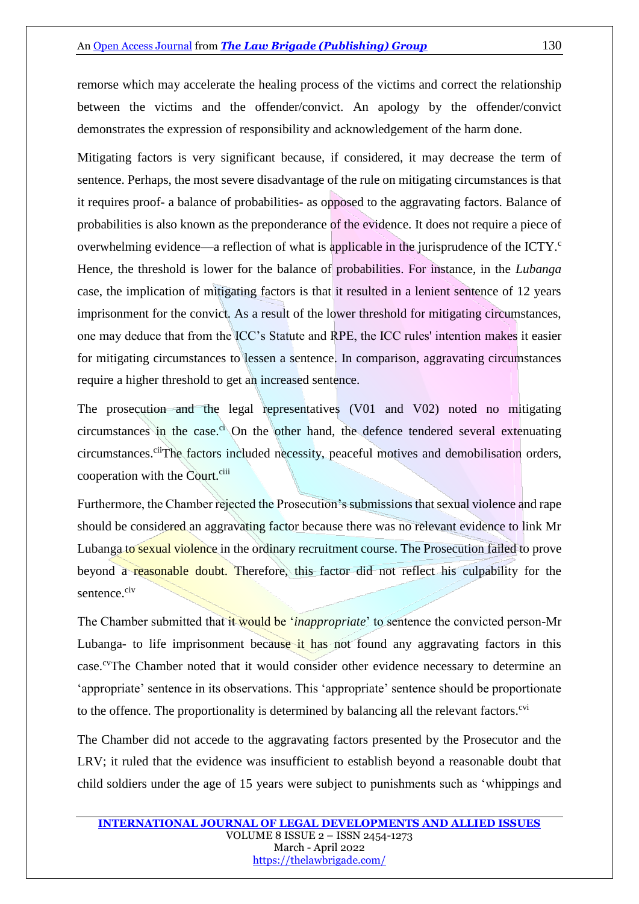remorse which may accelerate the healing process of the victims and correct the relationship between the victims and the offender/convict. An apology by the offender/convict demonstrates the expression of responsibility and acknowledgement of the harm done.

Mitigating factors is very significant because, if considered, it may decrease the term of sentence. Perhaps, the most severe disadvantage of the rule on mitigating circumstances is that it requires proof- a balance of probabilities- as opposed to the aggravating factors. Balance of probabilities is also known as the preponderance of the evidence. It does not require a piece of overwhelming evidence—a reflection of what is applicable in the jurisprudence of the ICTY.<sup>c</sup> Hence, the threshold is lower for the balance of probabilities. For instance, in the *Lubanga* case, the implication of mitigating factors is that it resulted in a lenient sentence of 12 years imprisonment for the convict. As a result of the lower threshold for mitigating circumstances, one may deduce that from the ICC's Statute and RPE, the ICC rules' intention makes it easier for mitigating circumstances to lessen a sentence. In comparison, aggravating circumstances require a higher threshold to get an increased sentence.

The prosecution and the legal representatives (V01 and V02) noted no mitigating circumstances in the case. $\dot{c}$  On the other hand, the defence tendered several extenuating circumstances.<sup>cii</sup>The factors included necessity, peaceful motives and demobilisation orders, cooperation with the Court.<sup>ciii</sup>

Furthermore, the Chamber rejected the Prosecution's submissions that sexual violence and rape should be considered an aggravating factor because there was no relevant evidence to link Mr Lubanga to sexual violence in the ordinary recruitment course. The Prosecution failed to prove beyond a reasonable doubt. Therefore, this factor did not reflect his culpability for the sentence.<sup>civ</sup>

The Chamber submitted that it would be '*inappropriate*' to sentence the convicted person-Mr Lubanga- to life imprisonment because it has not found any aggravating factors in this case.<sup>cv</sup>The Chamber noted that it would consider other evidence necessary to determine an 'appropriate' sentence in its observations. This 'appropriate' sentence should be proportionate to the offence. The proportionality is determined by balancing all the relevant factors.<sup>cvi</sup>

The Chamber did not accede to the aggravating factors presented by the Prosecutor and the LRV; it ruled that the evidence was insufficient to establish beyond a reasonable doubt that child soldiers under the age of 15 years were subject to punishments such as 'whippings and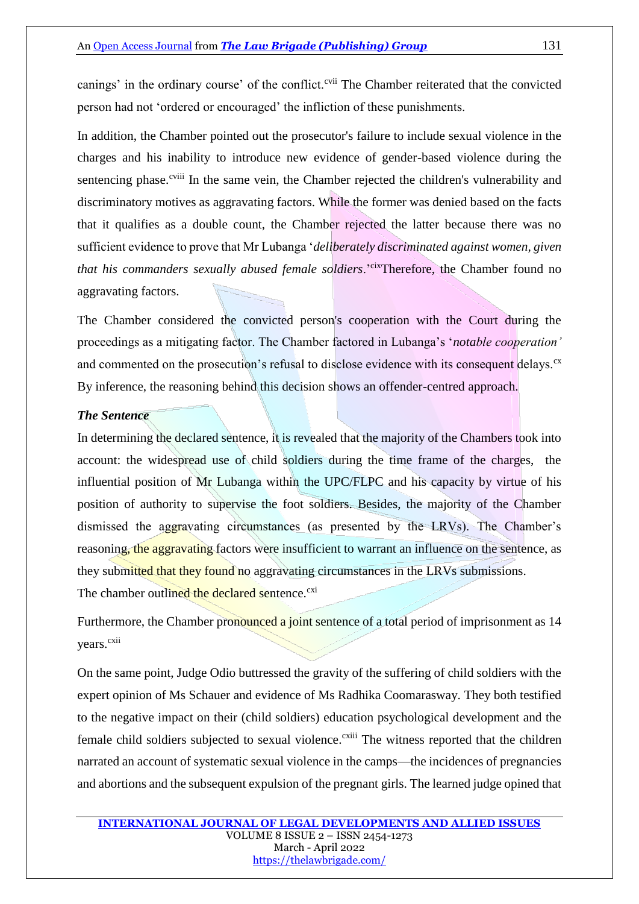canings' in the ordinary course' of the conflict.<sup>cvii</sup> The Chamber reiterated that the convicted person had not 'ordered or encouraged' the infliction of these punishments.

In addition, the Chamber pointed out the prosecutor's failure to include sexual violence in the charges and his inability to introduce new evidence of gender-based violence during the sentencing phase.<sup>cviii</sup> In the same vein, the Chamber rejected the children's vulnerability and discriminatory motives as aggravating factors. While the former was denied based on the facts that it qualifies as a double count, the Chamber rejected the latter because there was no sufficient evidence to prove that Mr Lubanga '*deliberately discriminated against women, given that his commanders sexually abused female soldiers*.'cixTherefore, the Chamber found no aggravating factors.

The Chamber considered the convicted person's cooperation with the Court during the proceedings as a mitigating factor. The Chamber factored in Lubanga's '*notable cooperation'*  and commented on the prosecution's refusal to disclose evidence with its consequent delays.<sup>cx</sup> By inference, the reasoning behind this decision shows an offender-centred approach.

### *The Sentence*

In determining the declared sentence, it is revealed that the majority of the Chambers took into account: the widespread use of child soldiers during the time frame of the charges, the influential position of Mr Lubanga within the UPC/FLPC and his capacity by virtue of his position of authority to supervise the foot soldiers. Besides, the majority of the Chamber dismissed the aggravating circumstances (as presented by the LRVs). The Chamber's reasoning, the aggravating factors were insufficient to warrant an influence on the sentence, as they submitted that they found no aggravating circumstances in the LRVs submissions.

The chamber outlined the declared sentence.<sup>cxi</sup>

Furthermore, the Chamber pronounced a joint sentence of a total period of imprisonment as 14 years.<sup>cxii</sup>

On the same point, Judge Odio buttressed the gravity of the suffering of child soldiers with the expert opinion of Ms Schauer and evidence of Ms Radhika Coomarasway. They both testified to the negative impact on their (child soldiers) education psychological development and the female child soldiers subjected to sexual violence.<sup>cxiii</sup> The witness reported that the children narrated an account of systematic sexual violence in the camps—the incidences of pregnancies and abortions and the subsequent expulsion of the pregnant girls. The learned judge opined that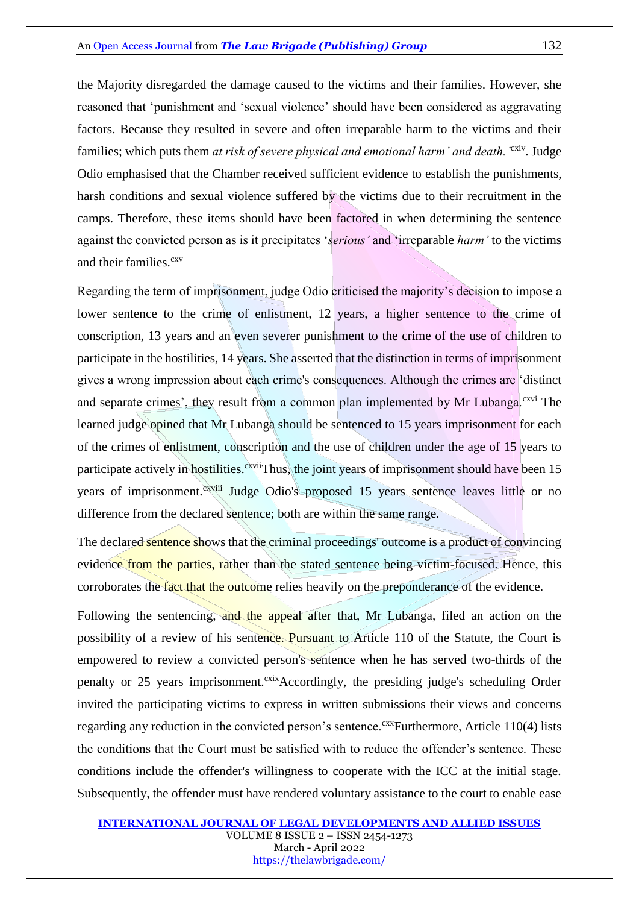the Majority disregarded the damage caused to the victims and their families. However, she reasoned that 'punishment and 'sexual violence' should have been considered as aggravating factors. Because they resulted in severe and often irreparable harm to the victims and their families; which puts them *at risk of severe physical and emotional harm' and death.* <sup>'cxiv</sup>. Judge Odio emphasised that the Chamber received sufficient evidence to establish the punishments, harsh conditions and sexual violence suffered by the victims due to their recruitment in the camps. Therefore, these items should have been factored in when determining the sentence against the convicted person as is it precipitates '*serious'* and 'irreparable *harm'* to the victims and their families.<sup>cxv</sup>

Regarding the term of imprisonment, judge Odio criticised the majority's decision to impose a lower sentence to the crime of enlistment, 12 years, a higher sentence to the crime of conscription, 13 years and an even severer punishment to the crime of the use of children to participate in the hostilities, 14 years. She asserted that the distinction in terms of imprisonment gives a wrong impression about each crime's consequences. Although the crimes are 'distinct and separate crimes', they result from a common plan implemented by Mr Lubanga.<sup>cxvi</sup> The learned judge opined that Mr Lubanga should be sentenced to 15 years imprisonment for each of the crimes of enlistment, conscription and the use of children under the age of 15 years to participate actively in hostilities.<sup>cxvii</sup>Thus, the joint years of imprisonment should have been 15 years of imprisonment.<sup>cxviii</sup> Judge Odio's proposed 15 years sentence leaves little or no difference from the declared sentence; both are within the same range.

The declared sentence shows that the criminal proceedings' outcome is a product of convincing evidence from the parties, rather than the stated sentence being victim-focused. Hence, this corroborates the fact that the outcome relies heavily on the preponderance of the evidence.

Following the sentencing, and the appeal after that, Mr Lubanga, filed an action on the possibility of a review of his sentence. Pursuant to Article 110 of the Statute, the Court is empowered to review a convicted person's sentence when he has served two-thirds of the penalty or 25 years imprisonment.<sup>cxix</sup>Accordingly, the presiding judge's scheduling Order invited the participating victims to express in written submissions their views and concerns regarding any reduction in the convicted person's sentence.<sup>cxx</sup>Furthermore, Article 110(4) lists the conditions that the Court must be satisfied with to reduce the offender's sentence. These conditions include the offender's willingness to cooperate with the ICC at the initial stage. Subsequently, the offender must have rendered voluntary assistance to the court to enable ease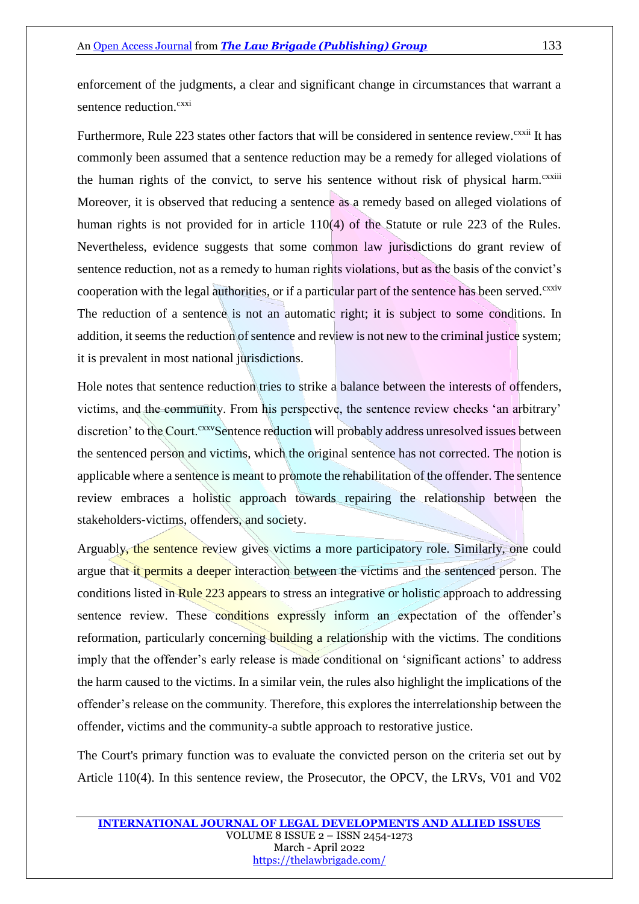enforcement of the judgments, a clear and significant change in circumstances that warrant a sentence reduction.<sup>cxxi</sup>

Furthermore, Rule 223 states other factors that will be considered in sentence review.<sup>cxxii</sup> It has commonly been assumed that a sentence reduction may be a remedy for alleged violations of the human rights of the convict, to serve his sentence without risk of physical harm.<sup>cxxiii</sup> Moreover, it is observed that reducing a sentence as a remedy based on alleged violations of human rights is not provided for in article 110(4) of the Statute or rule 223 of the Rules. Nevertheless, evidence suggests that some common law jurisdictions do grant review of sentence reduction, not as a remedy to human rights violations, but as the basis of the convict's cooperation with the legal authorities, or if a particular part of the sentence has been served.<sup>cxxiv</sup> The reduction of a sentence is not an automatic right; it is subject to some conditions. In addition, it seems the reduction of sentence and review is not new to the criminal justice system; it is prevalent in most national jurisdictions.

Hole notes that sentence reduction tries to strike a balance between the interests of offenders, victims, and the community. From his perspective, the sentence review checks 'an arbitrary' discretion' to the Court.<sup>cxxv</sup>Sentence reduction will probably address unresolved issues between the sentenced person and victims, which the original sentence has not corrected. The notion is applicable where a sentence is meant to promote the rehabilitation of the offender. The sentence review embraces a holistic approach towards repairing the relationship between the stakeholders-victims, offenders, and society.

Arguably, the sentence review gives victims a more participatory role. Similarly, one could argue that it permits a deeper interaction between the victims and the sentenced person. The conditions listed in Rule 223 appears to stress an integrative or holistic approach to addressing sentence review. These conditions expressly inform an expectation of the offender's reformation, particularly concerning building a relationship with the victims. The conditions imply that the offender's early release is made conditional on 'significant actions' to address the harm caused to the victims. In a similar vein, the rules also highlight the implications of the offender's release on the community. Therefore, this explores the interrelationship between the offender, victims and the community-a subtle approach to restorative justice.

The Court's primary function was to evaluate the convicted person on the criteria set out by Article 110(4). In this sentence review, the Prosecutor, the OPCV, the LRVs, V01 and V02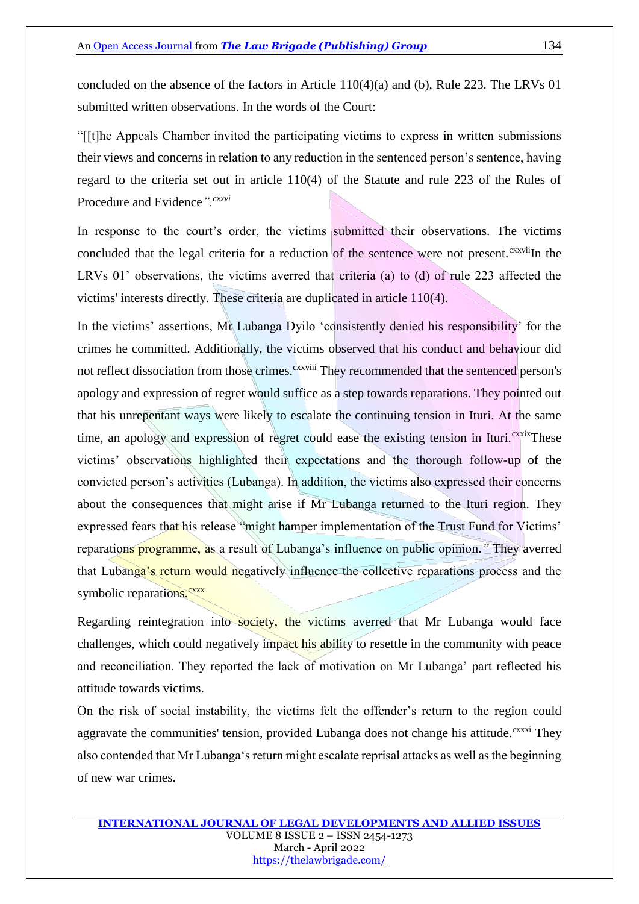concluded on the absence of the factors in Article 110(4)(a) and (b), Rule 223. The LRVs 01 submitted written observations. In the words of the Court:

"[[t]he Appeals Chamber invited the participating victims to express in written submissions their views and concerns in relation to any reduction in the sentenced person's sentence, having regard to the criteria set out in article 110(4) of the Statute and rule 223 of the Rules of Procedure and Evidence*".cxxvi*

In response to the court's order, the victims submitted their observations. The victims concluded that the legal criteria for a reduction of the sentence were not present.<sup>cxxvii</sup>In the LRVs 01' observations, the victims averred that criteria (a) to (d) of rule 223 affected the victims' interests directly. These criteria are duplicated in article 110(4).

In the victims' assertions, Mr Lubanga Dyilo 'consistently denied his responsibility' for the crimes he committed. Additionally, the victims observed that his conduct and behaviour did not reflect dissociation from those crimes.<sup>cxxviii</sup> They recommended that the sentenced person's apology and expression of regret would suffice as a step towards reparations. They pointed out that his unrepentant ways were likely to escalate the continuing tension in Ituri. At the same time, an apology and expression of regret could ease the existing tension in Ituri.<sup>cxxix</sup>These victims' observations highlighted their expectations and the thorough follow-up of the convicted person's activities (Lubanga). In addition, the victims also expressed their concerns about the consequences that might arise if Mr Lubanga returned to the Ituri region. They expressed fears that his release "might hamper implementation of the Trust Fund for Victims' reparations programme, as a result of Lubanga's influence on public opinion.*"* They averred that Lubanga's return would negatively influence the collective reparations process and the symbolic reparations.<sup>cxxx</sup>

Regarding reintegration into society, the victims averred that Mr Lubanga would face challenges, which could negatively impact his ability to resettle in the community with peace and reconciliation. They reported the lack of motivation on Mr Lubanga' part reflected his attitude towards victims.

On the risk of social instability, the victims felt the offender's return to the region could aggravate the communities' tension, provided Lubanga does not change his attitude.<sup>cxxxi</sup> They also contended that Mr Lubanga's return might escalate reprisal attacks as well as the beginning of new war crimes.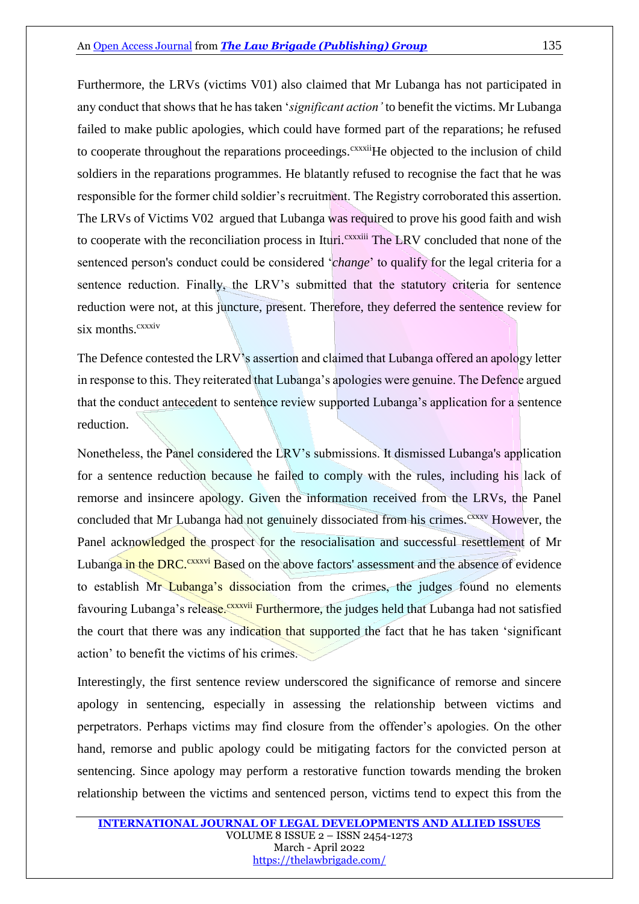Furthermore, the LRVs (victims V01) also claimed that Mr Lubanga has not participated in any conduct that shows that he has taken '*significant action'* to benefit the victims. Mr Lubanga failed to make public apologies, which could have formed part of the reparations; he refused to cooperate throughout the reparations proceedings.<sup>cxxxii</sup>He objected to the inclusion of child soldiers in the reparations programmes. He blatantly refused to recognise the fact that he was responsible for the former child soldier's recruitment. The Registry corroborated this assertion. The LRVs of Victims V02 argued that Lubanga was required to prove his good faith and wish to cooperate with the reconciliation process in Ituri.<sup>cxxxiii</sup> The LRV concluded that none of the sentenced person's conduct could be considered '*change*' to qualify for the legal criteria for a sentence reduction. Finally, the LRV's submitted that the statutory criteria for sentence reduction were not, at this juncture, present. Therefore, they deferred the sentence review for  $six$  months.<sup> $cxxxiv$ </sup>

The Defence contested the LRV's assertion and claimed that Lubanga offered an apology letter in response to this. They reiterated that Lubanga's apologies were genuine. The Defence argued that the conduct antecedent to sentence review supported Lubanga's application for a sentence reduction.

Nonetheless, the Panel considered the LRV's submissions. It dismissed Lubanga's application for a sentence reduction because he failed to comply with the rules, including his lack of remorse and insincere apology. Given the information received from the LRVs, the Panel concluded that Mr Lubanga had not genuinely dissociated from his crimes.<sup>cxxxv</sup> However, the Panel acknowledged the prospect for the resocialisation and successful resettlement of Mr Lubanga in the DRC.<sup>cxxxvi</sup> Based on the above factors' assessment and the absence of evidence to establish Mr Lubanga's dissociation from the crimes, the judges found no elements favouring Lubanga's release.<sup>cxxxvii</sup> Furthermore, the judges held that Lubanga had not satisfied the court that there was any indication that supported the fact that he has taken 'significant action' to benefit the victims of his crimes.

Interestingly, the first sentence review underscored the significance of remorse and sincere apology in sentencing, especially in assessing the relationship between victims and perpetrators. Perhaps victims may find closure from the offender's apologies. On the other hand, remorse and public apology could be mitigating factors for the convicted person at sentencing. Since apology may perform a restorative function towards mending the broken relationship between the victims and sentenced person, victims tend to expect this from the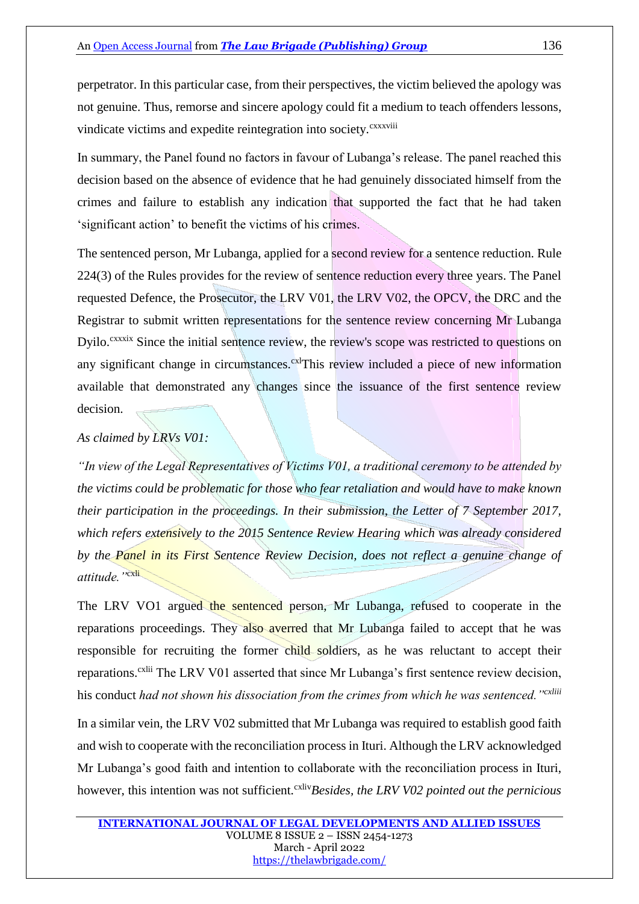perpetrator. In this particular case, from their perspectives, the victim believed the apology was not genuine. Thus, remorse and sincere apology could fit a medium to teach offenders lessons, vindicate victims and expedite reintegration into society.<sup>CXXXViii</sup>

In summary, the Panel found no factors in favour of Lubanga's release. The panel reached this decision based on the absence of evidence that he had genuinely dissociated himself from the crimes and failure to establish any indication that supported the fact that he had taken 'significant action' to benefit the victims of his crimes.

The sentenced person, Mr Lubanga, applied for a second review for a sentence reduction. Rule 224(3) of the Rules provides for the review of sentence reduction every three years. The Panel requested Defence, the Prosecutor, the LRV V01, the LRV V02, the OPCV, the DRC and the Registrar to submit written representations for the sentence review concerning Mr Lubanga Dyilo.<sup>cxxxix</sup> Since the initial sentence review, the review's scope was restricted to questions on any significant change in circumstances.<sup>cxl</sup>This review included a piece of new information available that demonstrated any changes since the issuance of the first sentence review decision.

#### *As claimed by LRVs V01:*

*"In view of the Legal Representatives of Victims V01, a traditional ceremony to be attended by the victims could be problematic for those who fear retaliation and would have to make known their participation in the proceedings. In their submission, the Letter of 7 September 2017, which refers extensively to the 2015 Sentence Review Hearing which was already considered by the Panel in its First Sentence Review Decision, does not reflect a genuine change of attitude."*cxli

The LRV VO1 argued the sentenced person, Mr Lubanga, refused to cooperate in the reparations proceedings. They also averred that Mr Lubanga failed to accept that he was responsible for recruiting the former child soldiers, as he was reluctant to accept their reparations.<sup>cxlii</sup> The LRV V01 asserted that since Mr Lubanga's first sentence review decision, his conduct *had not shown his dissociation from the crimes from which he was sentenced."cxliii*

In a similar vein, the LRV V02 submitted that Mr Lubanga was required to establish good faith and wish to cooperate with the reconciliation process in Ituri. Although the LRV acknowledged Mr Lubanga's good faith and intention to collaborate with the reconciliation process in Ituri, however, this intention was not sufficient.<sup>cxliv</sup>Besides, the LRV V02 pointed out the pernicious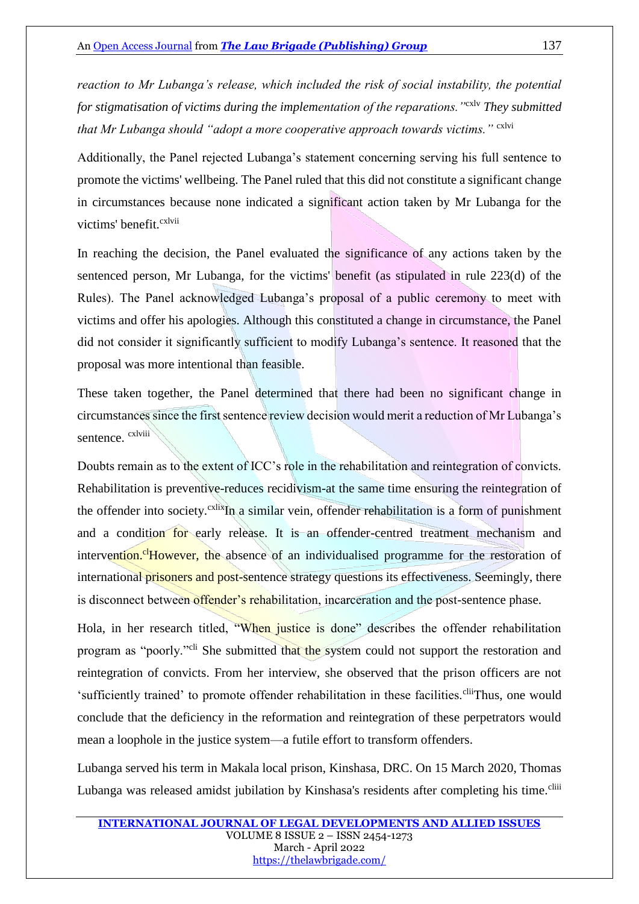*reaction to Mr Lubanga's release, which included the risk of social instability, the potential for stigmatisation of victims during the implementation of the reparations."*cxlv *They submitted*  that Mr Lubanga should "adopt a more cooperative approach towards victims." cxlvi

Additionally, the Panel rejected Lubanga's statement concerning serving his full sentence to promote the victims' wellbeing. The Panel ruled that this did not constitute a significant change in circumstances because none indicated a significant action taken by Mr Lubanga for the victims' benefit <sup>cxlvii</sup>

In reaching the decision, the Panel evaluated the significance of any actions taken by the sentenced person, Mr Lubanga, for the victims' benefit (as stipulated in rule 223(d) of the Rules). The Panel acknowledged Lubanga's proposal of a public ceremony to meet with victims and offer his apologies. Although this constituted a change in circumstance, the Panel did not consider it significantly sufficient to modify Lubanga's sentence. It reasoned that the proposal was more intentional than feasible.

These taken together, the Panel determined that there had been no significant change in circumstances since the first sentence review decision would merit a reduction of Mr Lubanga's sentence. <sup>cxlviii</sup>

Doubts remain as to the extent of ICC's role in the rehabilitation and reintegration of convicts. Rehabilitation is preventive-reduces recidivism-at the same time ensuring the reintegration of the offender into society.<sup>cxlix</sup>In a similar vein, offender rehabilitation is a form of punishment and a condition for early release. It is an offender-centred treatment mechanism and intervention.<sup>cl</sup>However, the absence of an individualised programme for the restoration of international prisoners and post-sentence strategy questions its effectiveness. Seemingly, there is disconnect between offender's rehabilitation, incarceration and the post-sentence phase.

Hola, in her research titled, "When justice is done" describes the offender rehabilitation program as "poorly."cli She submitted that the system could not support the restoration and reintegration of convicts. From her interview, she observed that the prison officers are not 'sufficiently trained' to promote offender rehabilitation in these facilities.<sup>clii</sup>Thus, one would conclude that the deficiency in the reformation and reintegration of these perpetrators would mean a loophole in the justice system—a futile effort to transform offenders.

Lubanga served his term in Makala local prison, Kinshasa, DRC. On 15 March 2020, Thomas Lubanga was released amidst jubilation by Kinshasa's residents after completing his time.<sup>cliii</sup>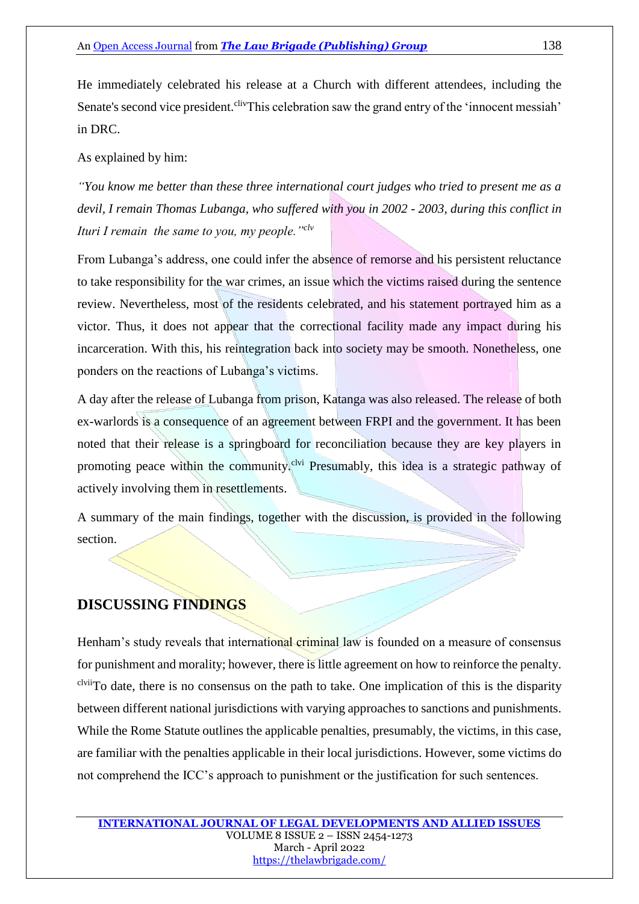He immediately celebrated his release at a Church with different attendees, including the Senate's second vice president.<sup>cliv</sup>This celebration saw the grand entry of the 'innocent messiah' in DRC.

As explained by him:

*"You know me better than these three international court judges who tried to present me as a devil, I remain Thomas Lubanga, who suffered with you in 2002 - 2003, during this conflict in Ituri I remain the same to you, my people."clv*

From Lubanga's address, one could infer the absence of remorse and his persistent reluctance to take responsibility for the war crimes, an issue which the victims raised during the sentence review. Nevertheless, most of the residents celebrated, and his statement portrayed him as a victor. Thus, it does not appear that the correctional facility made any impact during his incarceration. With this, his reintegration back into society may be smooth. Nonetheless, one ponders on the reactions of Lubanga's victims.

A day after the release of Lubanga from prison, Katanga was also released. The release of both ex-warlords is a consequence of an agreement between FRPI and the government. It has been noted that their release is a springboard for reconciliation because they are key players in promoting peace within the community.<sup>clvi</sup> Presumably, this idea is a strategic pathway of actively involving them in resettlements.

A summary of the main findings, together with the discussion, is provided in the following section.

## **DISCUSSING FINDINGS**

Henham's study reveals that international criminal law is founded on a measure of consensus for punishment and morality; however, there is little agreement on how to reinforce the penalty. clviiTo date, there is no consensus on the path to take. One implication of this is the disparity between different national jurisdictions with varying approaches to sanctions and punishments. While the Rome Statute outlines the applicable penalties, presumably, the victims, in this case, are familiar with the penalties applicable in their local jurisdictions. However, some victims do not comprehend the ICC's approach to punishment or the justification for such sentences.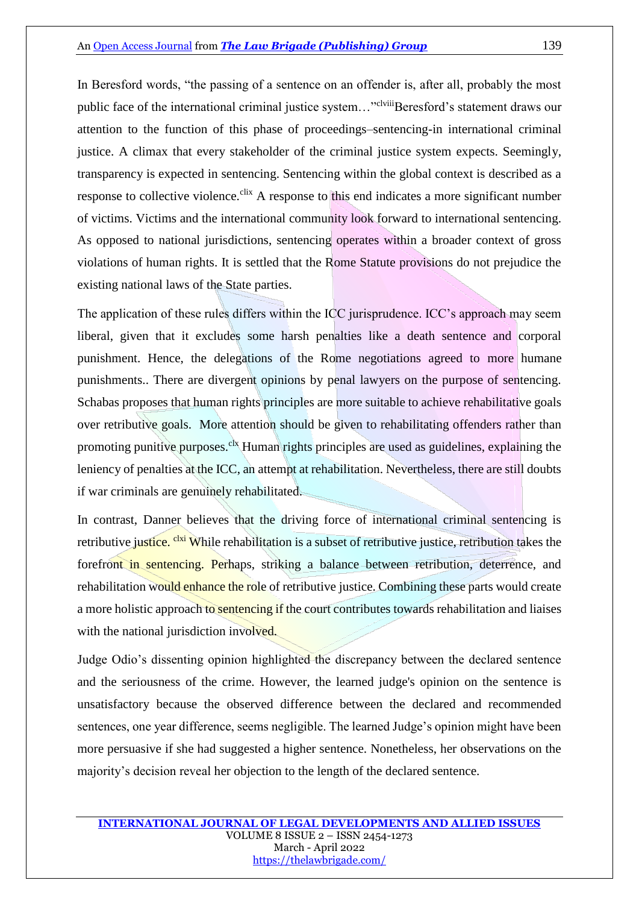In Beresford words, "the passing of a sentence on an offender is, after all, probably the most public face of the international criminal justice system..."<sup>clviii</sup>Beresford's statement draws our attention to the function of this phase of proceedings–sentencing-in international criminal justice. A climax that every stakeholder of the criminal justice system expects. Seemingly, transparency is expected in sentencing. Sentencing within the global context is described as a response to collective violence.<sup>clix</sup> A response to this end indicates a more significant number of victims. Victims and the international community look forward to international sentencing. As opposed to national jurisdictions, sentencing operates within a broader context of gross violations of human rights. It is settled that the Rome Statute provisions do not prejudice the existing national laws of the State parties.

The application of these rules differs within the ICC jurisprudence. ICC's approach may seem liberal, given that it excludes some harsh penalties like a death sentence and corporal punishment. Hence, the delegations of the Rome negotiations agreed to more humane punishments.. There are divergent opinions by penal lawyers on the purpose of sentencing. Schabas proposes that human rights principles are more suitable to achieve rehabilitative goals over retributive goals. More attention should be given to rehabilitating offenders rather than promoting punitive purposes.<sup>clx</sup> Human rights principles are used as guidelines, explaining the leniency of penalties at the ICC, an attempt at rehabilitation. Nevertheless, there are still doubts if war criminals are genuinely rehabilitated.

In contrast, Danner believes that the driving force of international criminal sentencing is retributive justice. <sup>clxi</sup> While rehabilitation is a subset of retributive justice, retribution takes the forefront in sentencing. Perhaps, striking a balance between retribution, deterrence, and rehabilitation would enhance the role of retributive justice. Combining these parts would create a more holistic approach to sentencing if the court contributes towards rehabilitation and liaises with the national jurisdiction involved.

Judge Odio's dissenting opinion highlighted the discrepancy between the declared sentence and the seriousness of the crime. However, the learned judge's opinion on the sentence is unsatisfactory because the observed difference between the declared and recommended sentences, one year difference, seems negligible. The learned Judge's opinion might have been more persuasive if she had suggested a higher sentence. Nonetheless, her observations on the majority's decision reveal her objection to the length of the declared sentence.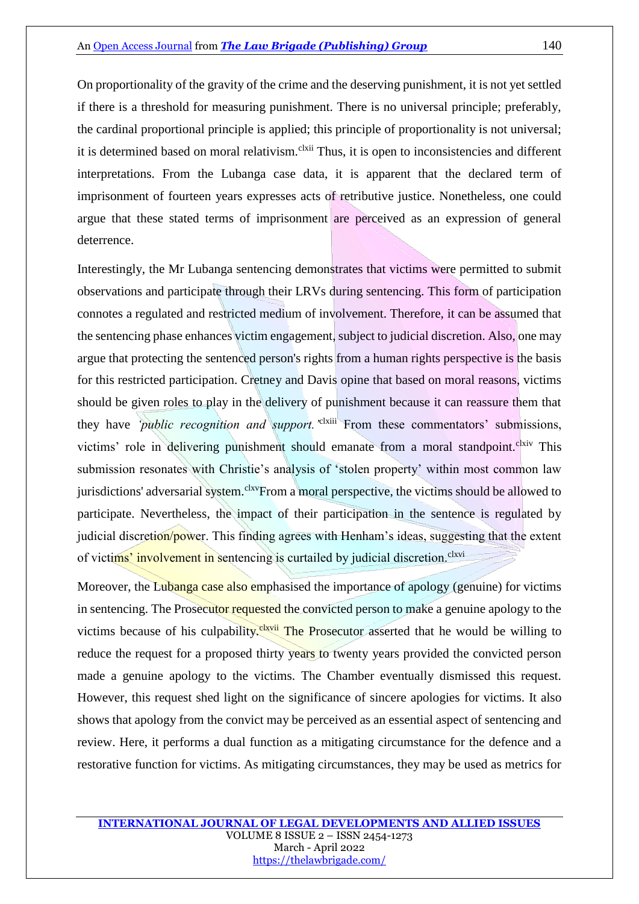On proportionality of the gravity of the crime and the deserving punishment, it is not yet settled if there is a threshold for measuring punishment. There is no universal principle; preferably, the cardinal proportional principle is applied; this principle of proportionality is not universal; it is determined based on moral relativism.<sup>clxii</sup> Thus, it is open to inconsistencies and different interpretations. From the Lubanga case data, it is apparent that the declared term of imprisonment of fourteen years expresses acts of retributive justice. Nonetheless, one could argue that these stated terms of imprisonment are perceived as an expression of general deterrence.

Interestingly, the Mr Lubanga sentencing demonstrates that victims were permitted to submit observations and participate through their LRVs during sentencing. This form of participation connotes a regulated and restricted medium of involvement. Therefore, it can be assumed that the sentencing phase enhances victim engagement, subject to judicial discretion. Also, one may argue that protecting the sentenced person's rights from a human rights perspective is the basis for this restricted participation. Cretney and Davis opine that based on moral reasons, victims should be given roles to play in the delivery of punishment because it can reassure them that they have *'public recognition and support*.<sup>'\*\*\*\*\*\*</sup> From these commentators' submissions, victims' role in delivering punishment should emanate from a moral standpoint.<sup>clxiv</sup> This submission resonates with Christie's analysis of 'stolen property' within most common law jurisdictions' adversarial system.<sup>clxv</sup>From a moral perspective, the victims should be allowed to participate. Nevertheless, the impact of their participation in the sentence is regulated by judicial discretion/power. This finding agrees with Henham's ideas, suggesting that the extent of victims' involvement in sentencing is curtailed by judicial discretion.<sup>clxvi</sup>

Moreover, the Lubanga case also emphasised the importance of apology (genuine) for victims in sentencing. The Prosecutor requested the convicted person to make a genuine apology to the victims because of his culpability.<sup>clxvii</sup> The Prosecutor asserted that he would be willing to reduce the request for a proposed thirty years to twenty years provided the convicted person made a genuine apology to the victims. The Chamber eventually dismissed this request. However, this request shed light on the significance of sincere apologies for victims. It also shows that apology from the convict may be perceived as an essential aspect of sentencing and review. Here, it performs a dual function as a mitigating circumstance for the defence and a restorative function for victims. As mitigating circumstances, they may be used as metrics for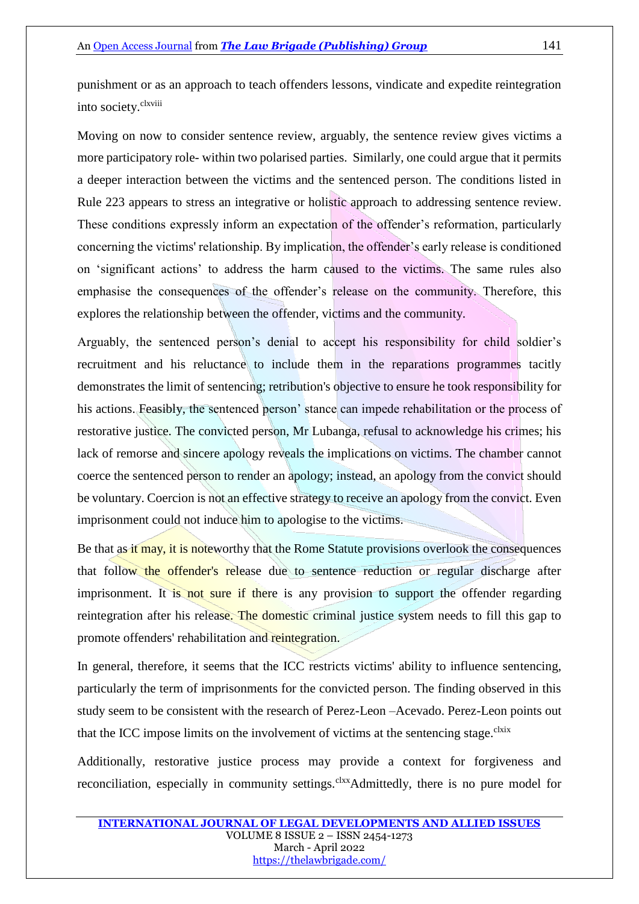punishment or as an approach to teach offenders lessons, vindicate and expedite reintegration into society.<sup>clxviii</sup>

Moving on now to consider sentence review, arguably, the sentence review gives victims a more participatory role- within two polarised parties. Similarly, one could argue that it permits a deeper interaction between the victims and the sentenced person. The conditions listed in Rule 223 appears to stress an integrative or holistic approach to addressing sentence review. These conditions expressly inform an expectation of the offender's reformation, particularly concerning the victims' relationship. By implication, the offender's early release is conditioned on 'significant actions' to address the harm caused to the victims. The same rules also emphasise the consequences of the offender's release on the community. Therefore, this explores the relationship between the offender, victims and the community.

Arguably, the sentenced person's denial to accept his responsibility for child soldier's recruitment and his reluctance to include them in the reparations programmes tacitly demonstrates the limit of sentencing; retribution's objective to ensure he took responsibility for his actions. Feasibly, the sentenced person' stance can impede rehabilitation or the process of restorative justice. The convicted person, Mr Lubanga, refusal to acknowledge his crimes; his lack of remorse and sincere apology reveals the implications on victims. The chamber cannot coerce the sentenced person to render an apology; instead, an apology from the convict should be voluntary. Coercion is not an effective strategy to receive an apology from the convict. Even imprisonment could not induce him to apologise to the victims.

Be that as it may, it is noteworthy that the Rome Statute provisions overlook the consequences that follow the offender's release due to sentence reduction or regular discharge after imprisonment. It is not sure if there is any provision to support the offender regarding reintegration after his release. The domestic criminal justice system needs to fill this gap to promote offenders' rehabilitation and reintegration.

In general, therefore, it seems that the ICC restricts victims' ability to influence sentencing, particularly the term of imprisonments for the convicted person. The finding observed in this study seem to be consistent with the research of Perez-Leon –Acevado. Perez-Leon points out that the ICC impose limits on the involvement of victims at the sentencing stage.<sup>clxix</sup>

Additionally, restorative justice process may provide a context for forgiveness and reconciliation, especially in community settings.<sup>clxx</sup>Admittedly, there is no pure model for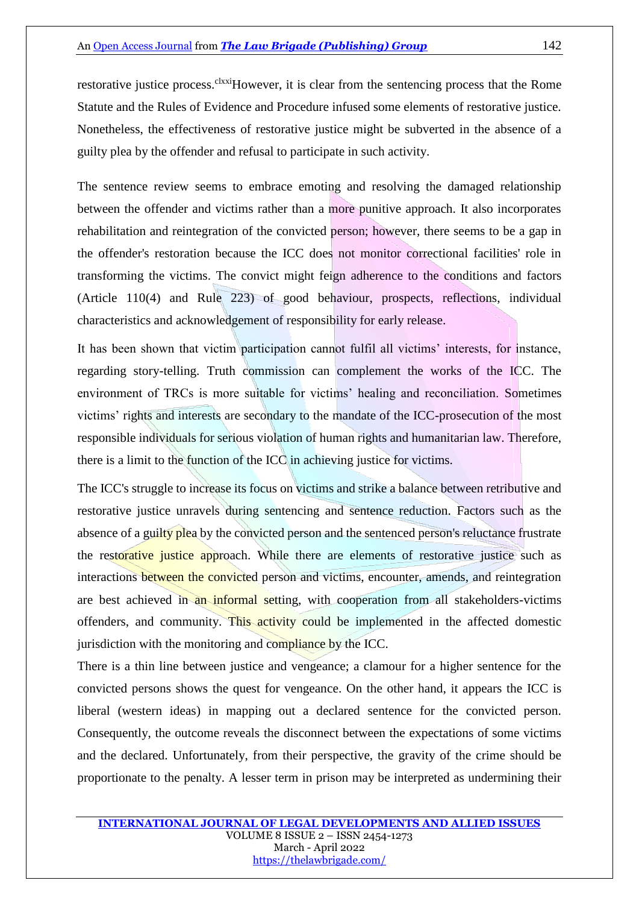restorative justice process.<sup>clxxi</sup>However, it is clear from the sentencing process that the Rome Statute and the Rules of Evidence and Procedure infused some elements of restorative justice. Nonetheless, the effectiveness of restorative justice might be subverted in the absence of a guilty plea by the offender and refusal to participate in such activity.

The sentence review seems to embrace emoting and resolving the damaged relationship between the offender and victims rather than a more punitive approach. It also incorporates rehabilitation and reintegration of the convicted person; however, there seems to be a gap in the offender's restoration because the ICC does not monitor correctional facilities' role in transforming the victims. The convict might feign adherence to the conditions and factors (Article 110(4) and Rule 223) of good behaviour, prospects, reflections, individual characteristics and acknowledgement of responsibility for early release.

It has been shown that victim participation cannot fulfil all victims' interests, for instance, regarding story-telling. Truth commission can complement the works of the ICC. The environment of TRCs is more suitable for victims' healing and reconciliation. Sometimes victims' rights and interests are secondary to the mandate of the ICC-prosecution of the most responsible individuals for serious violation of human rights and humanitarian law. Therefore, there is a limit to the function of the ICC in achieving justice for victims.

The ICC's struggle to increase its focus on victims and strike a balance between retributive and restorative justice unravels during sentencing and sentence reduction. Factors such as the absence of a guilty plea by the convicted person and the sentenced person's reluctance frustrate the restorative justice approach. While there are elements of restorative justice such as interactions between the convicted person and victims, encounter, amends, and reintegration are best achieved in an informal setting, with cooperation from all stakeholders-victims offenders, and community. This activity could be implemented in the affected domestic jurisdiction with the monitoring and compliance by the ICC.

There is a thin line between justice and vengeance; a clamour for a higher sentence for the convicted persons shows the quest for vengeance. On the other hand, it appears the ICC is liberal (western ideas) in mapping out a declared sentence for the convicted person. Consequently, the outcome reveals the disconnect between the expectations of some victims and the declared. Unfortunately, from their perspective, the gravity of the crime should be proportionate to the penalty. A lesser term in prison may be interpreted as undermining their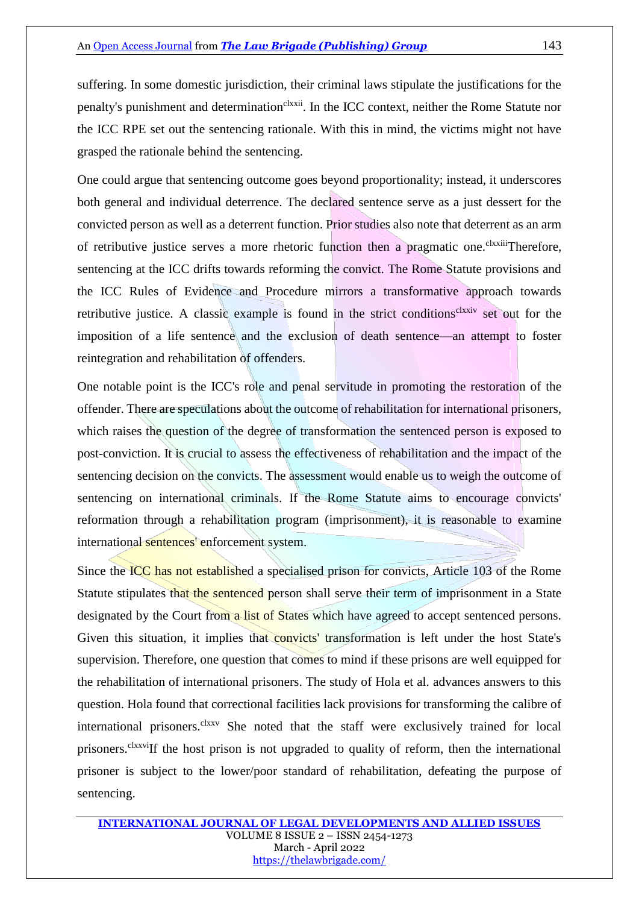suffering. In some domestic jurisdiction, their criminal laws stipulate the justifications for the penalty's punishment and determination<sup>clxxii</sup>. In the ICC context, neither the Rome Statute nor the ICC RPE set out the sentencing rationale. With this in mind, the victims might not have grasped the rationale behind the sentencing.

One could argue that sentencing outcome goes beyond proportionality; instead, it underscores both general and individual deterrence. The declared sentence serve as a just dessert for the convicted person as well as a deterrent function. Prior studies also note that deterrent as an arm of retributive justice serves a more rhetoric function then a pragmatic one.<sup>clxxiii</sup>Therefore, sentencing at the ICC drifts towards reforming the convict. The Rome Statute provisions and the ICC Rules of Evidence and Procedure mirrors a transformative approach towards retributive justice. A classic example is found in the strict conditions<sup>clxxiv</sup> set out for the imposition of a life sentence and the exclusion of death sentence—an attempt to foster reintegration and rehabilitation of offenders.

One notable point is the ICC's role and penal servitude in promoting the restoration of the offender. There are speculations about the outcome of rehabilitation for international prisoners, which raises the question of the degree of transformation the sentenced person is exposed to post-conviction. It is crucial to assess the effectiveness of rehabilitation and the impact of the sentencing decision on the convicts. The assessment would enable us to weigh the outcome of sentencing on international criminals. If the Rome Statute aims to encourage convicts' reformation through a rehabilitation program (imprisonment), it is reasonable to examine international sentences' enforcement system.

Since the ICC has not established a specialised prison for convicts, Article 103 of the Rome Statute stipulates that the sentenced person shall serve their term of imprisonment in a State designated by the Court from a list of States which have agreed to accept sentenced persons. Given this situation, it implies that convicts' transformation is left under the host State's supervision. Therefore, one question that comes to mind if these prisons are well equipped for the rehabilitation of international prisoners. The study of Hola et al. advances answers to this question. Hola found that correctional facilities lack provisions for transforming the calibre of international prisoners.<sup>clxxv</sup> She noted that the staff were exclusively trained for local prisoners.<sup>clxxvi</sup>If the host prison is not upgraded to quality of reform, then the international prisoner is subject to the lower/poor standard of rehabilitation, defeating the purpose of sentencing.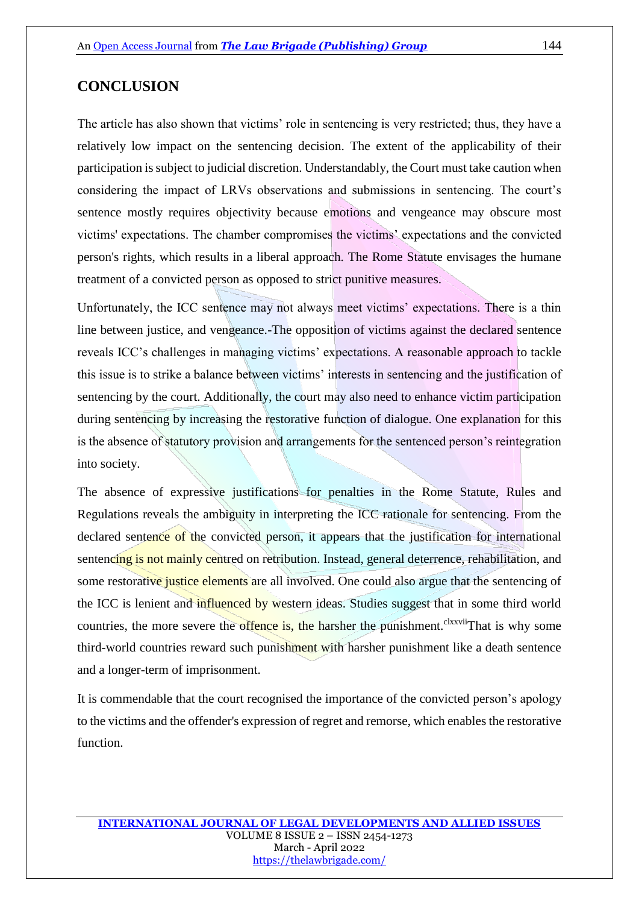## **CONCLUSION**

The article has also shown that victims' role in sentencing is very restricted; thus, they have a relatively low impact on the sentencing decision. The extent of the applicability of their participation is subject to judicial discretion. Understandably, the Court must take caution when considering the impact of LRVs observations and submissions in sentencing. The court's sentence mostly requires objectivity because emotions and vengeance may obscure most victims' expectations. The chamber compromises the victims' expectations and the convicted person's rights, which results in a liberal approach. The Rome Statute envisages the humane treatment of a convicted person as opposed to strict punitive measures.

Unfortunately, the ICC sentence may not always meet victims' expectations. There is a thin line between justice, and vengeance.-The opposition of victims against the declared sentence reveals ICC's challenges in managing victims' expectations. A reasonable approach to tackle this issue is to strike a balance between victims' interests in sentencing and the justification of sentencing by the court. Additionally, the court may also need to enhance victim participation during sentencing by increasing the restorative function of dialogue. One explanation for this is the absence of statutory provision and arrangements for the sentenced person's reintegration into society.

The absence of expressive justifications for penalties in the Rome Statute, Rules and Regulations reveals the ambiguity in interpreting the ICC rationale for sentencing. From the declared sentence of the convicted person, it appears that the justification for international sentencing is not mainly centred on retribution. Instead, general deterrence, rehabilitation, and some restorative justice elements are all involved. One could also argue that the sentencing of the ICC is lenient and influenced by western ideas. Studies suggest that in some third world countries, the more severe the offence is, the harsher the punishment.<sup>clxxvii</sup>That is why some third-world countries reward such punishment with harsher punishment like a death sentence and a longer-term of imprisonment.

It is commendable that the court recognised the importance of the convicted person's apology to the victims and the offender's expression of regret and remorse, which enables the restorative function.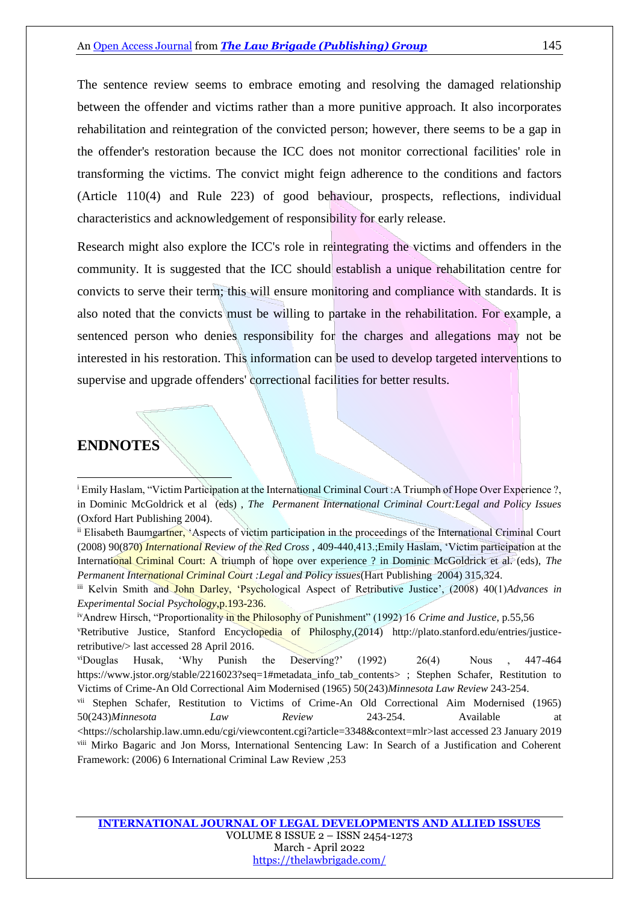The sentence review seems to embrace emoting and resolving the damaged relationship between the offender and victims rather than a more punitive approach. It also incorporates rehabilitation and reintegration of the convicted person; however, there seems to be a gap in the offender's restoration because the ICC does not monitor correctional facilities' role in transforming the victims. The convict might feign adherence to the conditions and factors (Article 110(4) and Rule 223) of good behaviour, prospects, reflections, individual characteristics and acknowledgement of responsibility for early release.

Research might also explore the ICC's role in reintegrating the victims and offenders in the community. It is suggested that the ICC should establish a unique rehabilitation centre for convicts to serve their term; this will ensure monitoring and compliance with standards. It is also noted that the convicts must be willing to partake in the rehabilitation. For example, a sentenced person who denies responsibility for the charges and allegations may not be interested in his restoration. This information can be used to develop targeted interventions to supervise and upgrade offenders' correctional facilities for better results.

### **ENDNOTES**

1

<sup>i</sup> Emily Haslam, "Victim Participation at the International Criminal Court :A Triumph of Hope Over Experience ?, in Dominic McGoldrick et al (eds) , *The Permanent International Criminal Court:Legal and Policy Issues* (Oxford Hart Publishing 2004).

ii Elisabeth Baumgartner, 'Aspects of victim participation in the proceedings of the International Criminal Court (2008) 90(870) *International Review of the Red Cross* , 409-440,413.;Emily Haslam, 'Victim participation at the International Criminal Court: A triumph of hope over experience ? in Dominic McGoldrick et al. (eds), *The Permanent International Criminal Court :Legal and Policy issues*(Hart Publishing 2004) 315,324.

iii Kelvin Smith and John Darley, 'Psychological Aspect of Retributive Justice', (2008) 40(1)*Advances in Experimental Social Psychology*,p.193-236.

ivAndrew Hirsch, "Proportionality in the Philosophy of Punishment" (1992) 16 *Crime and Justice*, p.55,56 vRetributive Justice, Stanford Encyclopedia of Philosphy,(2014) [http://plato.stanford.edu/entries/justice-](http://plato.stanford.edu/entries/justice-retributive/)

[retributive/>](http://plato.stanford.edu/entries/justice-retributive/) last accessed 28 April 2016.

viDouglas Husak, 'Why Punish the Deserving?' (1992) 26(4) Nous , 447-464 [https://www.jstor.org/stable/2216023?seq=1#metadata\\_info\\_tab\\_contents>](https://www.jstor.org/stable/2216023?seq=1#metadata_info_tab_contents) ; Stephen Schafer, Restitution to Victims of Crime-An Old Correctional Aim Modernised (1965) 50(243)*Minnesota Law Review* 243-254.

vii Stephen Schafer, Restitution to Victims of Crime-An Old Correctional Aim Modernised (1965) 50(243)*Minnesota* Law Review 243-254. Available [<https://scholarship.law.umn.edu/cgi/viewcontent.cgi?article=3348&context=mlr>](https://scholarship.law.umn.edu/cgi/viewcontent.cgi?article=3348&context=mlr)last accessed 23 January 2019 viii Mirko Bagaric and Jon Morss, International Sentencing Law: In Search of a Justification and Coherent Framework: (2006) 6 International Criminal Law Review ,253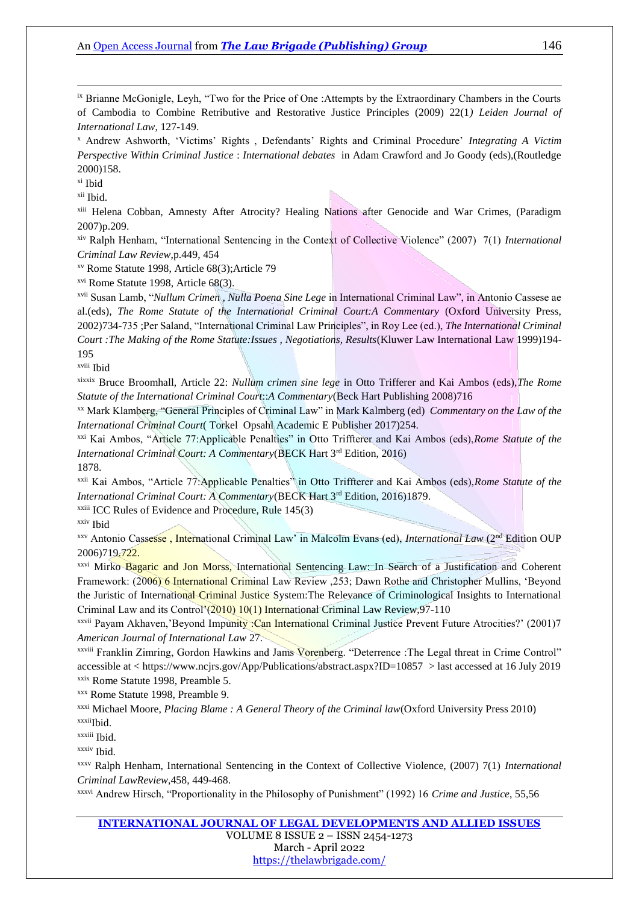ix Brianne McGonigle, Leyh, "Two for the Price of One :Attempts by the Extraordinary Chambers in the Courts of Cambodia to Combine Retributive and Restorative Justice Principles (2009) 22(1*) Leiden Journal of International Law*, 127-149.

<sup>x</sup> Andrew Ashworth, 'Victims' Rights , Defendants' Rights and Criminal Procedure' *Integrating A Victim Perspective Within Criminal Justice* : *International debates* in Adam Crawford and Jo Goody (eds),(Routledge 2000)158.

xi Ibid

1

xii Ibid.

xiii Helena Cobban, Amnesty After Atrocity? Healing Nations after Genocide and War Crimes, (Paradigm 2007)p.209.

xiv Ralph Henham, "International Sentencing in the Context of Collective Violence" (2007) 7(1) *International Criminal Law Review*,p.449, 454

xv Rome Statute 1998, Article 68(3);Article 79

xvi Rome Statute 1998, Article 68(3).

xvii Susan Lamb, "*Nullum Crimen , Nulla Poena Sine Lege* in International Criminal Law", in Antonio Cassese ae al.(eds), *The Rome Statute of the International Criminal Court:A Commentary* (Oxford University Press, 2002)734-735 ;Per Saland, "International Criminal Law Principles", in Roy Lee (ed.), *The International Criminal Court :The Making of the Rome Statute:Issues , Negotiations, Results*(Kluwer Law International Law 1999)194- 195

xviii Ibid

xixxix Bruce Broomhall, Article 22: *Nullum crimen sine lege* in Otto Trifferer and Kai Ambos (eds),*The Rome Statute of the International Criminal Court*::*A Commentary*(Beck Hart Publishing 2008)716

xx Mark Klamberg, "General Principles of Criminal Law" in Mark Kalmberg (ed) *Commentary on the Law of the International Criminal Court*( Torkel Opsahl Academic E Publisher 2017)254.

xxi Kai Ambos, "Article 77:Applicable Penalties" in Otto Triffterer and Kai Ambos (eds),*Rome Statute of the International Criminal Court: A Commentary*(BECK Hart 3<sup>rd</sup> Edition, 2016)

1878.

xxii Kai Ambos, "Article 77:Applicable Penalties" in Otto Triffterer and Kai Ambos (eds),*Rome Statute of the International Criminal Court: A Commentary*(BECK Hart 3rd Edition, 2016)1879.

 $x$ <sup>xxiii</sup> ICC Rules of Evidence and Procedure, Rule  $145(3)$ 

xxiv Ibid

xxv Antonio Cassesse , International Criminal Law' in Malcolm Evans (ed), *International Law* (2nd Edition OUP 2006)719.722.

xxvi Mirko Bagaric and Jon Morss, International Sentencing Law: In Search of a Justification and Coherent Framework: (2006) 6 International Criminal Law Review ,253; Dawn Rothe and Christopher Mullins, 'Beyond the Juristic of International Criminal Justice System:The Relevance of Criminological Insights to International Criminal Law and its Control'(2010) 10(1) International Criminal Law Review,97-110

xxvii Payam Akhaven,'Beyond Impunity :Can International Criminal Justice Prevent Future Atrocities?' (2001)7 *American Journal of International Law* 27.

xxviii Franklin Zimring, Gordon Hawkins and Jams Vorenberg. "Deterrence :The Legal threat in Crime Control" accessible at <<https://www.ncjrs.gov/App/Publications/abstract.aspx?ID=10857>> last accessed at 16 July 2019 xxix Rome Statute 1998, Preamble 5.

xxx Rome Statute 1998, Preamble 9.

xxxi Michael Moore, *Placing Blame : A General Theory of the Criminal law*(Oxford University Press 2010) xxxii<sub>Ibid.</sub>

xxxiii Ibid.

xxxiv Ibid.

xxxv Ralph Henham, International Sentencing in the Context of Collective Violence, (2007) 7(1) *International Criminal LawReview*,458, 449-468.

xxxvi Andrew Hirsch, "Proportionality in the Philosophy of Punishment" (1992) 16 *Crime and Justice*, 55,56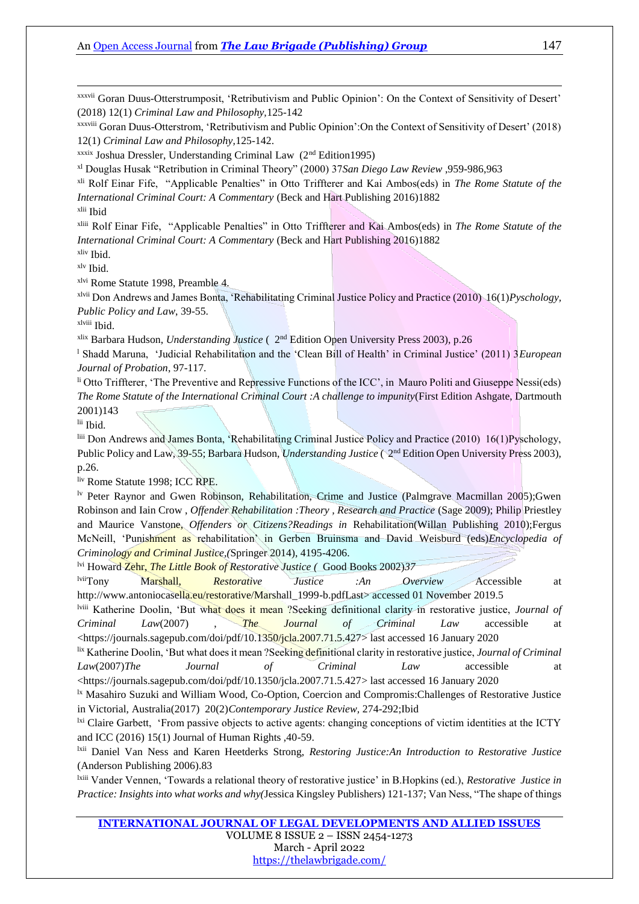xxxvii Goran Duus-Otterstrumposit, 'Retributivism and Public Opinion': On the Context of Sensitivity of Desert' (2018) 12(1) *Criminal Law and Philosophy,*125-142

xxxviii Goran Duus-Otterstrom, 'Retributivism and Public Opinion':On the Context of Sensitivity of Desert' (2018) 12(1) *Criminal Law and Philosophy,*125-142.

 $x$ xxix Joshua Dressler, Understanding Criminal Law ( $2<sup>nd</sup> Edition1995$ )

xl Douglas Husak "Retribution in Criminal Theory" (2000) 37*San Diego Law Review* ,959-986,963

xli Rolf Einar Fife, "Applicable Penalties" in Otto Triffterer and Kai Ambos(eds) in *The Rome Statute of the International Criminal Court: A Commentary* (Beck and Hart Publishing 2016)1882

xlii Ibid

1

xliii Rolf Einar Fife, "Applicable Penalties" in Otto Triffterer and Kai Ambos(eds) in *The Rome Statute of the International Criminal Court: A Commentary* (Beck and Hart Publishing 2016)1882 xliv Ibid.

xlv Ibid.

xlvi Rome Statute 1998, Preamble 4.

xlvii Don Andrews and James Bonta, 'Rehabilitating Criminal Justice Policy and Practice (2010) 16(1)*Pyschology, Public Policy and Law*, 39-55.

xlviii Ibid.

xlix Barbara Hudson, *Understanding Justice* ( 2nd Edition Open University Press 2003), p.26

<sup>l</sup> Shadd Maruna, 'Judicial Rehabilitation and the 'Clean Bill of Health' in Criminal Justice' (2011) 3*European Journal of Probation*, 97-117.

li Otto Triffterer, 'The Preventive and Repressive Functions of the ICC', in Mauro Politi and Giuseppe Nessi(eds) *The Rome Statute of the International Criminal Court :A challenge to impunity*(First Edition Ashgate, Dartmouth 2001)143

lii Ibid.

liii Don Andrews and James Bonta, 'Rehabilitating Criminal Justice Policy and Practice (2010) 16(1)Pyschology, Public Policy and Law, 39-55; Barbara Hudson, *Understanding Justice* (2<sup>nd</sup> Edition Open University Press 2003), p.26.

liv Rome Statute 1998; ICC RPE.

lv Peter Raynor and Gwen Robinson, Rehabilitation, Crime and Justice (Palmgrave Macmillan 2005);Gwen Robinson and Iain Crow , *Offender Rehabilitation :Theory , Research and Practice* (Sage 2009); Philip Priestley and Maurice Vanstone, *Offenders or Citizens?Readings in* Rehabilitation(Willan Publishing 2010);Fergus McNeill, 'Punishment as rehabilitation' in Gerben Bruinsma and David Weisburd (eds)*Encyclopedia of Criminology and Criminal Justice,(*Springer 2014), 4195-4206.

lvi Howard Zehr, *The Little Book of Restorative Justice (* Good Books 2002)*37*

lviiTony Marshall, *Restorative Justice :An Overview* Accessible at [http://www.antoniocasella.eu/restorative/Marshall\\_1999-b.pdfLast>](http://www.antoniocasella.eu/restorative/Marshall_1999-b.pdfLast) accessed 01 November 2019.5

lviii Katherine Doolin, 'But what does it mean ?Seeking definitional clarity in restorative justice, *Journal of Criminal Law*(2007) , *The Journal of Criminal Law* accessible at [<https://journals.sagepub.com/doi/pdf/10.1350/jcla.2007.71.5.427>](https://journals.sagepub.com/doi/pdf/10.1350/jcla.2007.71.5.427) last accessed 16 January 2020

lix Katherine Doolin, 'But what does it mean ?Seeking definitional clarity in restorative justice, *Journal of Criminal Law*(2007)*The Journal of Criminal Law* accessible at

[<https://journals.sagepub.com/doi/pdf/10.1350/jcla.2007.71.5.427>](https://journals.sagepub.com/doi/pdf/10.1350/jcla.2007.71.5.427) last accessed 16 January 2020

<sup>1x</sup> Masahiro Suzuki and William Wood, Co-Option, Coercion and Compromis: Challenges of Restorative Justice in Victorial, Australia(2017) 20(2)*Contemporary Justice Review,* 274-292;Ibid

<sup>1xi</sup> Claire Garbett, 'From passive objects to active agents: changing conceptions of victim identities at the ICTY and ICC (2016) 15(1) Journal of Human Rights ,40-59.

lxii Daniel Van Ness and Karen Heetderks Strong, *Restoring Justice:An Introduction to Restorative Justice* (Anderson Publishing 2006).83

lxiii Vander Vennen, 'Towards a relational theory of restorative justice' in B.Hopkins (ed.), *Restorative Justice in Practice: Insights into what works and why(*Jessica Kingsley Publishers) 121-137; Van Ness, "The shape of things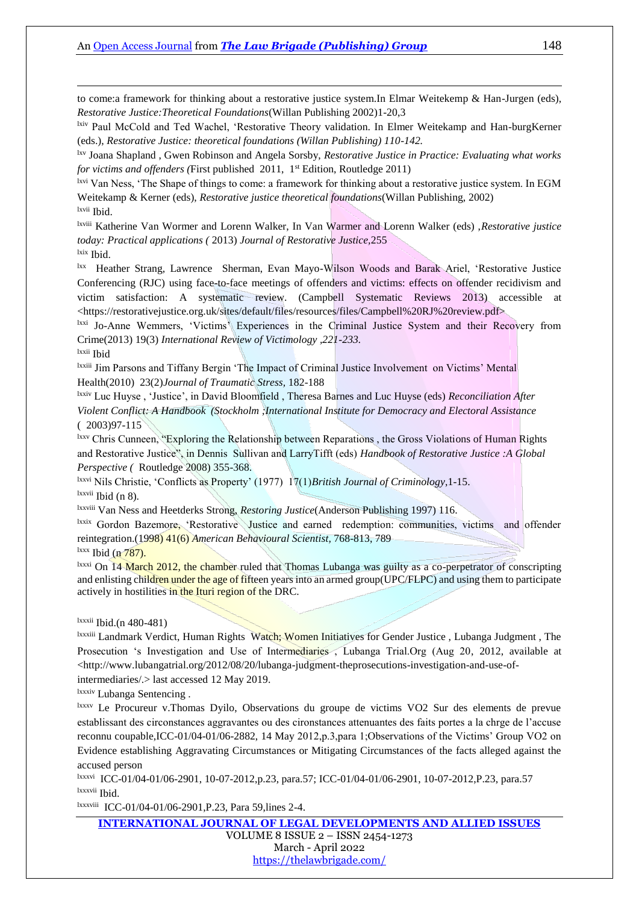to come:a framework for thinking about a restorative justice system.In Elmar Weitekemp & Han-Jurgen (eds), *Restorative Justice:Theoretical Foundations*(Willan Publishing 2002)1-20,3

lxiv Paul McCold and Ted Wachel, 'Restorative Theory validation. In Elmer Weitekamp and Han-burgKerner (eds.), *Restorative Justice: theoretical foundations (Willan Publishing) 110-142.*

lxv Joana Shapland , Gwen Robinson and Angela Sorsby, *Restorative Justice in Practice: Evaluating what works for victims and offenders (First published 2011, 1<sup>st</sup> Edition, Routledge 2011)* 

lxvi Van Ness, 'The Shape of things to come: a framework for thinking about a restorative justice system. In EGM Weitekamp & Kerner (eds), *Restorative justice theoretical foundations*(Willan Publishing, 2002) lxvii Ibid.

lxviii Katherine Van Wormer and Lorenn Walker, In Van Warmer and Lorenn Walker (eds) ,*Restorative justice today: Practical applications (* 2013) *Journal of Restorative Justice,*255 lxix Ibid.

<sup>1xx</sup> Heather Strang, Lawrence Sherman, Evan Mayo-Wilson Woods and Barak Ariel, 'Restorative Justice Conferencing (RJC) using face-to-face meetings of offenders and victims: effects on offender recidivism and victim satisfaction: A systematic review. (Campbell Systematic Reviews 2013) accessible at <https://restorativejustice.org.uk/sites/default/files/resources/files/Campbell%20RJ%20review.pdf>

lxxi Jo-Anne Wemmers, 'Victims' Experiences in the Criminal Justice System and their Recovery from Crime(2013) 19(3) *International Review of Victimology ,221-233.*

lxxii Ibid

1

lxxiii Jim Parsons and Tiffany Bergin 'The Impact of Criminal Justice Involvement on Victims' Mental Health(2010) 23(2)*Journal of Traumatic Stress,* 182-188

lxxiv Luc Huyse , 'Justice', in David Bloomfield , Theresa Barnes and Luc Huyse (eds) *Reconciliation After Violent Conflict: A Handbook (Stockholm ;International Institute for Democracy and Electoral Assistance* ( 2003)97-115

lxxv Chris Cunneen, "Exploring the Relationship between Reparations, the Gross Violations of Human Rights and Restorative Justice", in Dennis Sullivan and LarryTifft (eds) *Handbook of Restorative Justice :A Global Perspective (* Routledge 2008) 355-368.

lxxvi Nils Christie, 'Conflicts as Property' (1977) 17(1)*British Journal of Criminology*,1-15. lxxvii Ibid (n 8).

lxxviii Van Ness and Heetderks Strong, *Restoring Justice*(Anderson Publishing 1997) 116.

lxxix Gordon Bazemore, 'Restorative Justice and earned redemption: communities, victims and offender reintegration.(1998) 41(6) *American Behavioural Scientist,* 768-813, 789

 $lxxx$  Ibid (n  $787$ ).

lxxxi On 14 March 2012, the chamber ruled that Thomas Lubanga was guilty as a co-perpetrator of conscripting and enlisting children under the age of fifteen years into an armed group(UPC/FLPC) and using them to participate actively in hostilities in the Ituri region of the DRC.

#### $lxxxii$  Ibid.(n 480-481)

<sup>Ixxxiii</sup> Landmark Verdict, Human Rights Watch; Women Initiatives for Gender Justice, Lubanga Judgment, The Prosecution 's Investigation and Use of Intermediaries , Lubanga Trial.Org (Aug 20, 2012, available at [<http://www.lubangatr](http://www.lubanga/)ial.org/2012/08/20/lubanga-judgment-theprosecutions-investigation-and-use-ofintermediaries/.> last accessed 12 May 2019.

lxxxiv Lubanga Sentencing .

lxxxv Le Procureur v.Thomas Dyilo, Observations du groupe de victims VO2 Sur des elements de prevue establissant des circonstances aggravantes ou des cironstances attenuantes des faits portes a la chrge de l'accuse reconnu coupable,ICC-01/04-01/06-2882, 14 May 2012,p.3,para 1;Observations of the Victims' Group VO2 on Evidence establishing Aggravating Circumstances or Mitigating Circumstances of the facts alleged against the accused person

lxxxvi ICC-01/04-01/06-2901, 10-07-2012,p.23, para.57; ICC-01/04-01/06-2901, 10-07-2012,P.23, para.57 lxxxvii Ibid.

lxxxviii ICC-01/04-01/06-2901,P.23, Para 59,lines 2-4.

**[INTERNATIONAL JOURNAL OF LEGAL DEVELOPMENTS AND ALLIED ISSUES](https://ijldai.thelawbrigade.com/)** VOLUME 8 ISSUE 2 – ISSN 2454-1273 March - April 2022 <https://thelawbrigade.com/>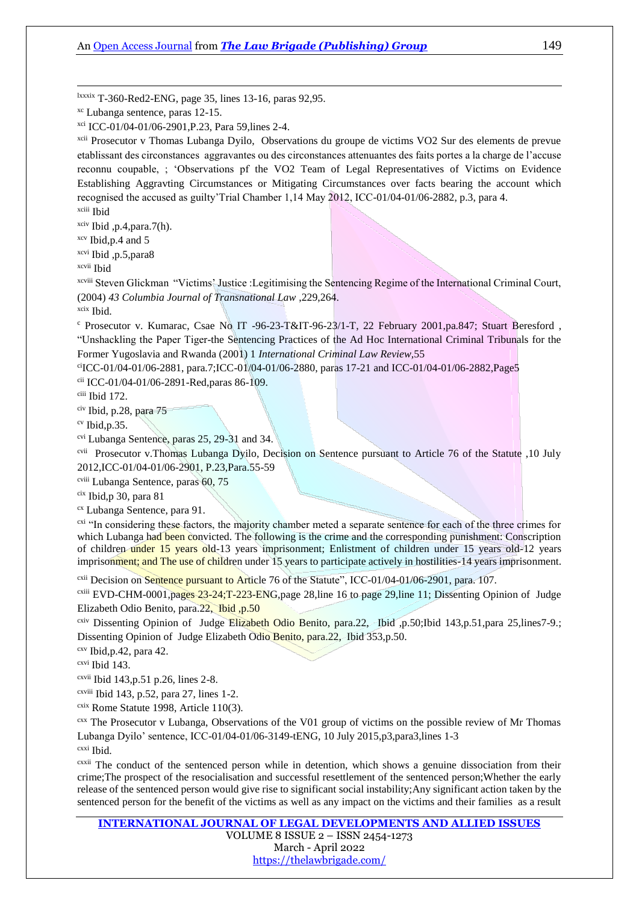lxxxix T-360-Red2-ENG, page 35, lines 13-16, paras 92,95.

xci ICC-01/04-01/06-2901,P.23, Para 59,lines 2-4.

xcii Prosecutor v Thomas Lubanga Dyilo, Observations du groupe de victims VO2 Sur des elements de prevue etablissant des circonstances aggravantes ou des circonstances attenuantes des faits portes a la charge de l'accuse reconnu coupable, ; 'Observations pf the VO2 Team of Legal Representatives of Victims on Evidence Establishing Aggravting Circumstances or Mitigating Circumstances over facts bearing the account which recognised the accused as guilty'Trial Chamber 1,14 May 2012, ICC-01/04-01/06-2882, p.3, para 4. xciii Ibid

 $x$ civ Ibid ,p.4,para.7(h).

xcv Ibid,p.4 and 5

xcvi Ibid ,p.5,para8

xcvii Ibid

1

xcviii Steven Glickman "Victims' Justice :Legitimising the Sentencing Regime of the International Criminal Court, (2004) *43 Columbia Journal of Transnational Law* ,229,264.

xcix Ibid.

<sup>c</sup> Prosecutor v. Kumarac, Csae No IT -96-23-T&IT-96-23/1-T, 22 February 2001,pa.847; Stuart Beresford , "Unshackling the Paper Tiger-the Sentencing Practices of the Ad Hoc International Criminal Tribunals for the Former Yugoslavia and Rwanda (2001) 1 *International Criminal Law Review,*55

ciICC-01/04-01/06-2881, para.7;ICC-01/04-01/06-2880, paras 17-21 and ICC-01/04-01/06-2882, Page5 cii ICC-01/04-01/06-2891-Red,paras 86-109.

ciii Ibid 172.

civ Ibid, p.28, para 75

 $\rm^{cv}$  Ibid,p.35.

cvi Lubanga Sentence, paras 25, 29-31 and 34.

cvii Prosecutor v.Thomas Lubanga Dyilo, Decision on Sentence pursuant to Article 76 of the Statute ,10 July 2012,ICC-01/04-01/06-2901, P.23,Para.55-59

cviii Lubanga Sentence, paras 60, 75

cix Ibid,p 30, para 81

cx Lubanga Sentence, para 91.

<sup>cxi</sup> "In considering these factors, the majority chamber meted a separate sentence for each of the three crimes for which Lubanga had been convicted. The following is the crime and the corresponding punishment: Conscription of children under 15 years old-13 years imprisonment; Enlistment of children under 15 years old-12 years imprisonment; and The use of children under 15 years to participate actively in hostilities-14 years imprisonment.

<sup>cxii</sup> Decision on **Sentence pursuant to Article** 76 of the Statute", ICC-01/04-01/06-2901, para. 107.

<sup>cxiii</sup> EVD-CHM-0001,pages  $23-24$ ;T-223-ENG,page 28, line 16 to page 29, line 11; Dissenting Opinion of Judge Elizabeth Odio Benito, para.22, Ibid ,p.50

<sup>cxiv</sup> Dissenting Opinion of Judge Elizabeth Odio Benito, para.22, Ibid ,p.50;Ibid 143,p.51,para 25,lines7-9.; Dissenting Opinion of Judge Elizabeth Odio Benito, para.22, Ibid 353,p.50.

 $cxy$  Ibid, p.42, para 42.

cxvi Ibid 143.

cxvii Ibid 143,p.51 p.26, lines 2-8.

 $c$ <sup>cxviii</sup> Ibid 143, p.52, para 27, lines 1-2.

 $\frac{\text{c}\text{x} \text{i}\text{x}}{\text{Rome}}$  Statute 1998, Article 110(3).

cxx The Prosecutor v Lubanga, Observations of the V01 group of victims on the possible review of Mr Thomas Lubanga Dyilo' sentence, ICC-01/04-01/06-3149-tENG, 10 July 2015,p3,para3,lines 1-3

cxxi Ibid.

cxxii The conduct of the sentenced person while in detention, which shows a genuine dissociation from their crime;The prospect of the resocialisation and successful resettlement of the sentenced person;Whether the early release of the sentenced person would give rise to significant social instability;Any significant action taken by the sentenced person for the benefit of the victims as well as any impact on the victims and their families as a result

**[INTERNATIONAL JOURNAL OF LEGAL DEVELOPMENTS AND ALLIED ISSUES](https://ijldai.thelawbrigade.com/)** VOLUME 8 ISSUE 2 – ISSN 2454-1273 March - April 2022 <https://thelawbrigade.com/>

xc Lubanga sentence, paras 12-15.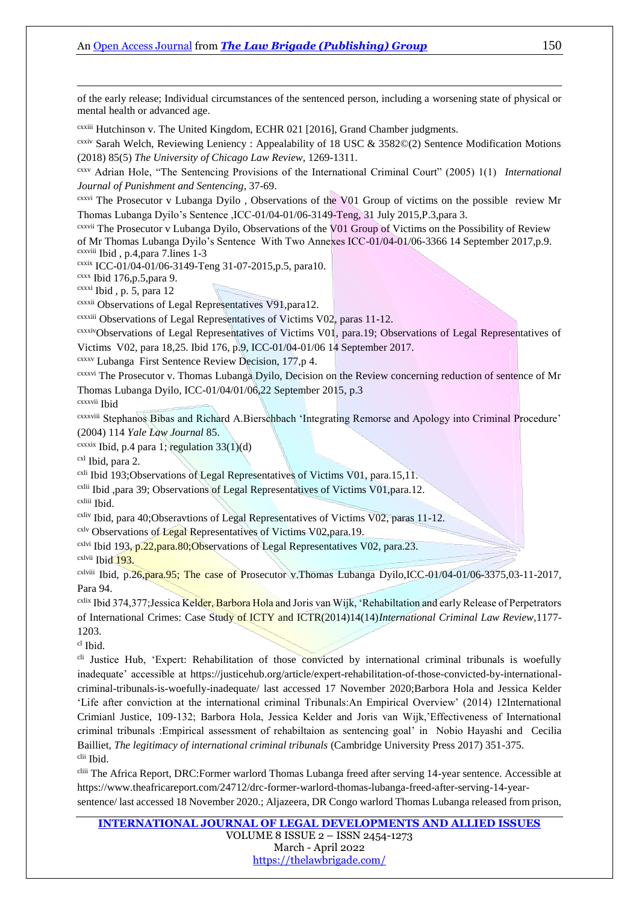of the early release; Individual circumstances of the sentenced person, including a worsening state of physical or mental health or advanced age.

cxxiii Hutchinson v. The United Kingdom, ECHR 021 [2016], Grand Chamber judgments.

cxxiv Sarah Welch, Reviewing Leniency : Appealability of 18 USC & 3582©(2) Sentence Modification Motions (2018) 85(5) *The University of Chicago Law Review*, 1269-1311.

cxxv Adrian Hole, "The Sentencing Provisions of the International Criminal Court" (2005) 1(1) *International Journal of Punishment and Sentencing*, 37-69.

cxxvi The Prosecutor v Lubanga Dyilo , Observations of the V01 Group of victims on the possible review Mr Thomas Lubanga Dyilo's Sentence ,ICC-01/04-01/06-3149-Teng, 31 July 2015,P.3,para 3.

cxxvii The Prosecutor v Lubanga Dyilo, Observations of the V01 Group of Victims on the Possibility of Review of Mr Thomas Lubanga Dyilo's Sentence With Two Annexes ICC-01/04-01/06-3366 14 September 2017,p.9. cxxviii Ibid , p.4,para 7.lines 1-3

cxxix ICC-01/04-01/06-3149-Teng 31-07-2015,p.5, para10.

 $c$ xxx Ibid 176, p.5, para 9.

cxxxi Ibid , p. 5, para 12

cxxxii Observations of Legal Representatives V91,para12.

cxxxiii Observations of Legal Representatives of Victims V02, paras 11-12.

cxxxivObservations of Legal Representatives of Victims V01, para.19; Observations of Legal Representatives of

Victims V02, para 18,25. Ibid 176, p.9, ICC-01/04-01/06 14 September 2017.

cxxxv Lubanga First Sentence Review Decision, 177,p 4.

cxxxvi The Prosecutor v. Thomas Lubanga Dyilo, Decision on the Review concerning reduction of sentence of Mr Thomas Lubanga Dyilo, ICC-01/04/01/06,22 September 2015, p.3

cxxxvii Ibid

1

cxxxviii Stephanos Bibas and Richard A.Bierschbach 'Integrating Remorse and Apology into Criminal Procedure' (2004) 114 *Yale Law Journal* 85.

 $c$ xxxix Ibid, p.4 para 1; regulation 33(1)(d)

cxl Ibid, para 2.

<sup>cxli</sup> Ibid 193;Observations of Legal Representatives of Victims V01, para.15,11.

cxlii Ibid ,para 39; Observations of Legal Representatives of Victims V01,para.12.

cxliii Ibid.

cxliv Ibid, para 40;Obseravtions of Legal Representatives of Victims V02, paras 11-12.

<sup>cxlv</sup> Observations of Legal Representatives of Victims V02, para.19.

<sup>cxlvi</sup> Ibid 193, p.22, para.80; Observations of Legal Representatives V02, para.23.

cxlvii Ibid 193.

cxlviii Ibid, p.26,para.95; The case of Prosecutor v.Thomas Lubanga Dyilo,ICC-01/04-01/06-3375,03-11-2017, Para 94.

<sup>cxlix</sup> Ibid 374,377;Jessica Kelder, Barbora Hola and Joris van Wijk, 'Rehabiltation and early Release of Perpetrators of International Crimes: Case Study of ICTY and ICTR(2014)14(14)*International Criminal Law Review,*1177- 1203.

cl Ibid.

<sup>cli</sup> Justice Hub, 'Expert: Rehabilitation of those convicted by international criminal tribunals is woefully inadequate' accessible at [https://justicehub.org/article/expert-rehabilitation-of-those-convicted-by-international](https://justicehub.org/article/expert-rehabilitation-of-those-convicted-by-international-criminal-tribunals-is-woefully-inadequate/)[criminal-tribunals-is-woefully-inadequate/](https://justicehub.org/article/expert-rehabilitation-of-those-convicted-by-international-criminal-tribunals-is-woefully-inadequate/) last accessed 17 November 2020;Barbora Hola and Jessica Kelder 'Life after conviction at the international criminal Tribunals:An Empirical Overview' (2014) 12International Crimianl Justice, 109-132; Barbora Hola, Jessica Kelder and Joris van Wijk,'Effectiveness of International criminal tribunals :Empirical assessment of rehabiltaion as sentencing goal' in Nobio Hayashi and Cecilia Bailliet, *The legitimacy of international criminal tribunals* (Cambridge University Press 2017) 351-375. clii Ibid.

cliii The Africa Report, DRC:Former warlord Thomas Lubanga freed after serving 14-year sentence. Accessible at [https://www.theafricareport.com/24712/drc-former-warlord-thomas-lubanga-freed-after-serving-14-year](https://www.theafricareport.com/24712/drc-former-warlord-thomas-lubanga-freed-after-serving-14-year-sentence/)[sentence/](https://www.theafricareport.com/24712/drc-former-warlord-thomas-lubanga-freed-after-serving-14-year-sentence/) last accessed 18 November 2020.; Aljazeera, DR Congo warlord Thomas Lubanga released from prison,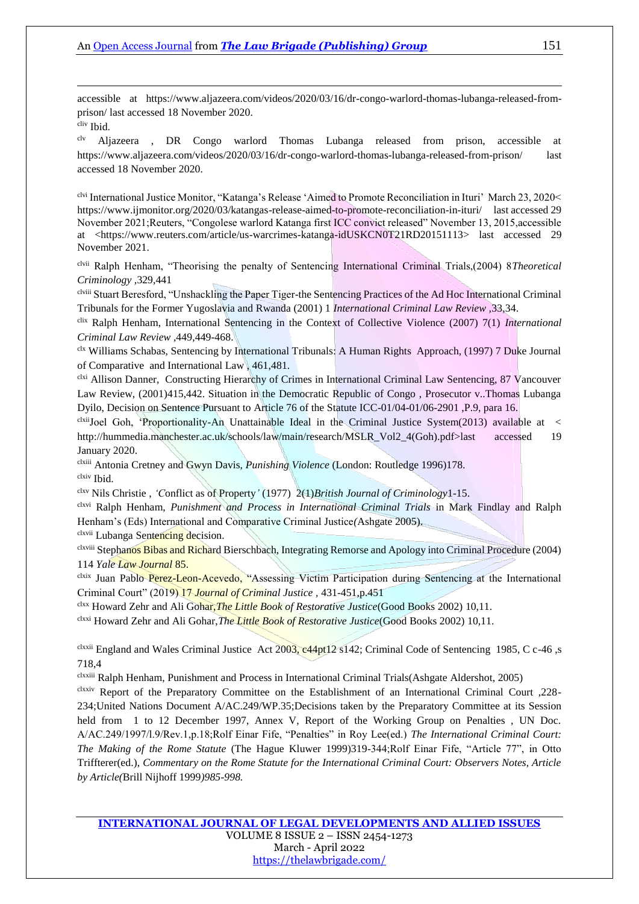accessible at [https://www.aljazeera.com/videos/2020/03/16/dr-congo-warlord-thomas-lubanga-released-from](https://www.aljazeera.com/videos/2020/03/16/dr-congo-warlord-thomas-lubanga-released-from-prison/)[prison/](https://www.aljazeera.com/videos/2020/03/16/dr-congo-warlord-thomas-lubanga-released-from-prison/) last accessed 18 November 2020.

cliv Ibid.

1

clv Aljazeera , DR Congo warlord Thomas Lubanga released from prison, accessible at <https://www.aljazeera.com/videos/2020/03/16/dr-congo-warlord-thomas-lubanga-released-from-prison/> last accessed 18 November 2020.

clvi International Justice Monitor, "Katanga's Release 'Aimed to Promote Reconciliation in Ituri' March 23, 2020< <https://www.ijmonitor.org/2020/03/katangas-release-aimed-to-promote-reconciliation-in-ituri/>last accessed 29 November 2021;Reuters, "Congolese warlord Katanga first ICC convict released" November 13, 2015,accessible at [<https://www.reuters.com/article/us-warcrimes-katanga-idUSKCN0T21RD20151113>](https://www.reuters.com/article/us-warcrimes-katanga-idUSKCN0T21RD20151113) last accessed 29 November 2021.

clvii Ralph Henham, "Theorising the penalty of Sentencing International Criminal Trials,(2004) 8*Theoretical Criminology ,*329,441

clviii Stuart Beresford, "Unshackling the Paper Tiger-the Sentencing Practices of the Ad Hoc International Criminal Tribunals for the Former Yugoslavia and Rwanda (2001) 1 *International Criminal Law Review ,*33,34.

clix Ralph Henham, International Sentencing in the Context of Collective Violence (2007) 7(1) *International Criminal Law Review* ,449,449-468.

clx Williams Schabas, Sentencing by International Tribunals: A Human Rights Approach, (1997) 7 Duke Journal of Comparative and International Law , 461,481.

clxi Allison Danner, Constructing Hierarchy of Crimes in International Criminal Law Sentencing, 87 Vancouver Law Review, (2001)415,442. Situation in the Democratic Republic of Congo , Prosecutor v..Thomas Lubanga Dyilo, Decision on Sentence Pursuant to Article 76 of the Statute ICC-01/04-01/06-2901 ,P.9, para 16.

 $\alpha$ <sup>clxii</sup>Joel Goh, 'Proportionality-An Unattainable Ideal in the Criminal Justice System(2013) available at  $\leq$ [http://hummedia.manchester.ac.uk/schools/law/main/research/MSLR\\_Vol2\\_4\(Goh\).pdf>last](http://hummedia.manchester.ac.uk/schools/law/main/research/MSLR_Vol2_4(Goh).pdf%3elast) accessed 19 January 2020.

clxiii Antonia Cretney and Gwyn Davis, *Punishing Violence* (London: Routledge 1996)178. clxiv Ibid.

clxv Nils Christie , *'C*onflict as of Property*'* (1977) 2(1)*British Journal of Criminology*1-15.

clxvi Ralph Henham, *Punishment and Process in International Criminal Trials* in Mark Findlay and Ralph Henham's (Eds) International and Comparative Criminal Justice*(*Ashgate 2005).

clxvii Lubanga Sentencing decision.

clxviii Stephanos Bibas and Richard Bierschbach, Integrating Remorse and Apology into Criminal Procedure (2004) 114 *Yale Law Journal* 85.

clxix Juan Pablo Perez-Leon-Acevedo, "Assessing Victim Participation during Sentencing at the International Criminal Court" (2019) 17 *Journal of Criminal Justice ,* 431-451,p.451

clxx Howard Zehr and Ali Gohar,*The Little Book of Restorative Justice*(Good Books 2002) 10,11.

clxxi Howard Zehr and Ali Gohar,*The Little Book of Restorative Justice*(Good Books 2002) 10,11.

clxxii England and Wales Criminal Justice Act 2003, c44pt12 s142; Criminal Code of Sentencing 1985, C c-46, s 718,4

clxxiii Ralph Henham, Punishment and Process in International Criminal Trials(Ashgate Aldershot, 2005)

clxxiv Report of the Preparatory Committee on the Establishment of an International Criminal Court ,228-234;United Nations Document A/AC.249/WP.35;Decisions taken by the Preparatory Committee at its Session held from 1 to 12 December 1997, Annex V, Report of the Working Group on Penalties, UN Doc. A/AC.249/1997/l.9/Rev.1,p.18;Rolf Einar Fife, "Penalties" in Roy Lee(ed.) *The International Criminal Court: The Making of the Rome Statute* (The Hague Kluwer 1999)319-344;Rolf Einar Fife, "Article 77", in Otto Triffterer(ed.), *Commentary on the Rome Statute for the International Criminal Court: Observers Notes, Article by Article(*Brill Nijhoff 1999*)985-998.*